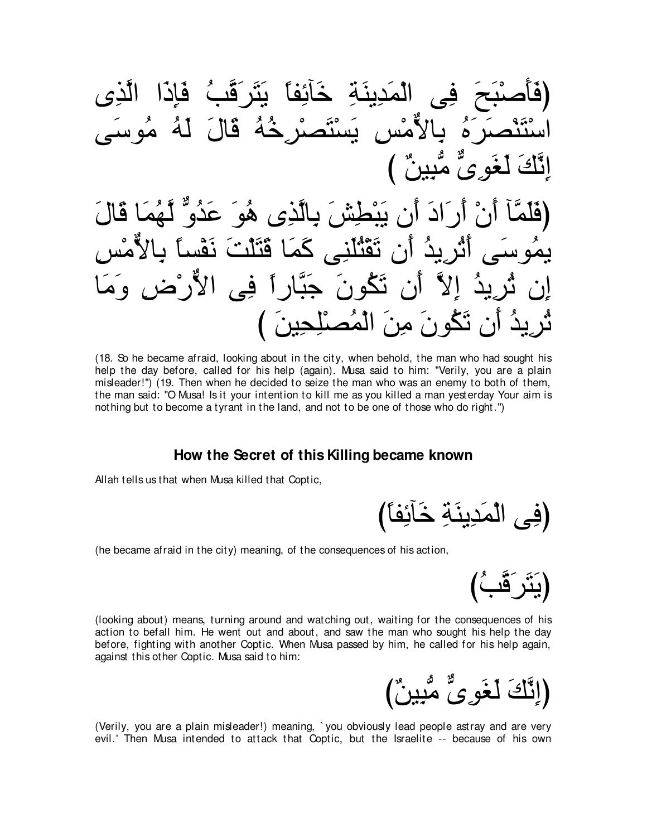ِفِي∠ المَدِينَةِ خَائِفاً يَثَرِقَبُ فَإِذَا رِّهُ يالاِمْس ٍ يَسْتَصِيْرِ خُهُ قَالَ لَهُ مُوسَ لغو ِيِّ مَّبِينِ ) (فَلَمَّأَ أَنْ أَرِيَّا أَنَّ لَذَى نَقْطَشْ كَذَبَّ عَذُو ٌ لَّـهُمَا قَالَ ِّ أَنِ تَقْتُلَنِي كَمَا قَتَلْتَ نَقْس آنِ نَكُونَ جُبَّارٍ أَ فِي الأَرْضِ ان تَكُو نَ مِنَ الْمُصنْلِجِينَ )

(18. So he became afraid, looking about in the city, when behold, the man who had sought his help the day before, called for his help (again). Musa said to him: "Verily, you are a plain misleader!'') (19. Then when he decided to seize the man who was an enemy to both of them, the man said: "O Musa! Is it your intention to kill me as you killed a man yesterday Your aim is nothing but to become a tyrant in the land, and not to be one of those who do right.'')

#### **How the Secret of this Killing became known**

Allah tells us that when Musa killed that Coptic,

(فِي الْمَدِينَةِ خَ

(he became afraid in the city) meaning, of the consequences of his action,

(يَثَرُقَّبُ)

(looking about) means, turning around and watching out, waiting for the consequences of his action to befall him. He went out and about, and saw the man who sought his help the day before, fighting with another Coptic. When Musa passed by him, he called for his help again, against this other Coptic. Musa said to him:

(إِنَّكَ لَغَو<sup>يٌ</sup> مُّبِينٌ)

(Verily, you are a plain misleader!) meaning, ` you obviously lead people astray and are very evil.' Then Musa intended to attack that Coptic, but the Israelite -- because of his own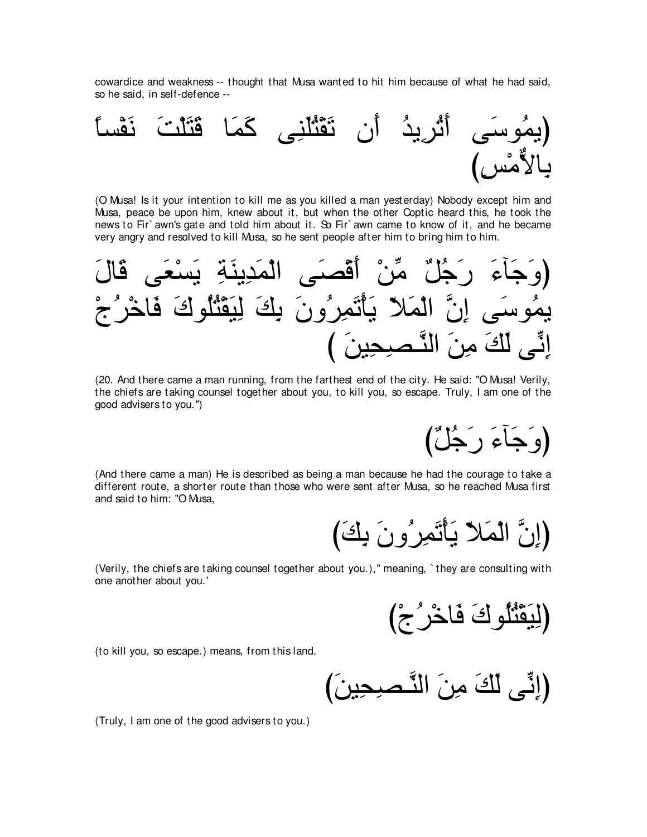cowardice and weakness -- thought that Musa wanted to hit him because of what he had said, so he said, in self-defence --



(O Musa! Is it your intention to kill me as you killed a man yesterday) Nobody except him and Musa, peace be upon him, knew about it, but when the other Coptic heard this, he took the news to Fir`awn's gate and told him about it. So Fir`awn came to know of it, and he became very angry and resolved to kill Musa, so he sent people after him to bring him to him.

(20. And there came a man running, from the farthest end of the city. He said: "O Musa! Verily, the chiefs are taking counsel together about you, to kill you, so escape. Truly, I am one of the good advisers to you.")

(وَجَاءَ رَجُلٌ)

(And there came a man) He is described as being a man because he had the courage to take a different route, a shorter route than those who were sent after Musa, so he reached Musa first and said to him: "O Musa,

(إِنَّ الْمَلاَّ يَأْتَمِرُونَ بِكَ)

(Verily, the chiefs are taking counsel together about you.)," meaning, `they are consulting with one another about you.'

(لِبَقْتُلُوكَ فَاخْرُ جُ)

(to kill you, so escape.) means, from this land.

(Truly, I am one of the good advisers to you.)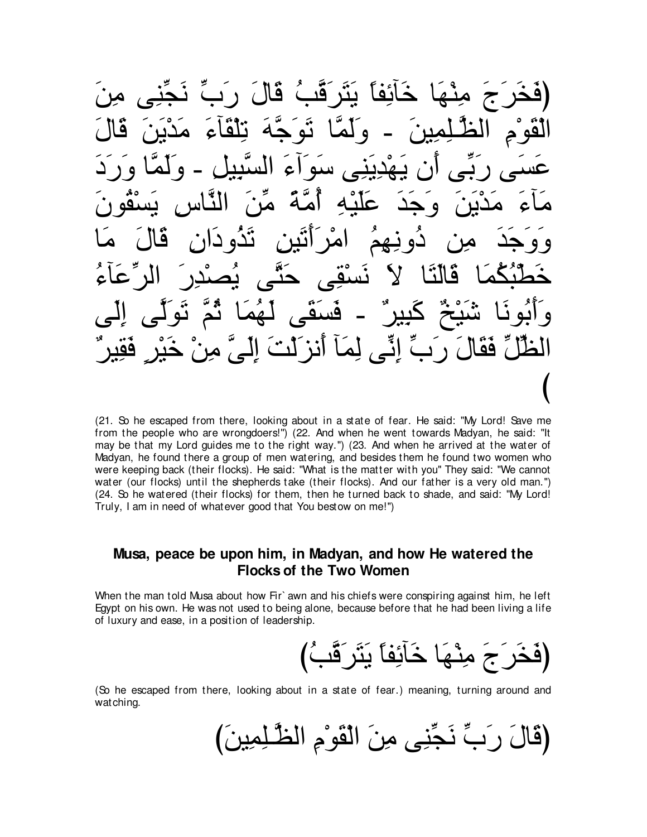(فَخَرَ جَ مِنْـهَا خَائِفاً يَثَرَقَبُ قَالَ رَبٍّ نَجِّنِي مِنَ الْقَوْمِ الظَّـْلِمِينَ ـ وَلَمَّا تَوَجَّهَ تِلْقَاءَ مَدْيَنَ قَالَ عَسَى رَبِّمِى أَن يَهْدِيَنِي سَوَاءَ السَّبِيلِ - وَلَمَّا وَرَدَ مَاءَ مَدْيَنَ وَجَدَ عَلَيْهِ أَمَّةً مِّنَ النَّاسِ يَسْقُونَ وَوَجَدَ مِن دُونِـهِمُ امْرَأَتَين تَدُودَان قَالَ مَا خَطَّبُكُمَا قَالَتَا لاَ نَسْقِى حَتَّى يُصنْدِرَ الرِّعَاءُ وَأَبُونَا شَيْخٌ كَبِيرٌ - فَسَقَى لَهُمَا ثُمَّ نَوَلَّى إِلَى الْطُّلِّ فَقَالَ رَبِّ إِنِّـ لِمَا أَنزَلْتَ إِلَىٍّ مِنْ خَيْرٍ فَقِيرٌ び

(21. So he escaped from there, looking about in a state of fear. He said: "My Lord! Save me from the people who are wrongdoers!'') (22. And when he went towards Madyan, he said: "It may be that my Lord guides me to the right way.'') (23. And when he arrived at the water of Madyan, he found there a group of men watering, and besides them he found two women who were keeping back (their flocks). He said: "What is the matter with you'' They said: "We cannot water (our flocks) until the shepherds take (their flocks). And our father is a very old man.'') (24. So he watered (their flocks) for them, then he turned back to shade, and said: "My Lord! Truly, I am in need of whatever good that You bestow on me!'')

#### **Musa, peace be upon him, in Madyan, and how He watered the Flocks of the Two Women**

When the man told Musa about how Fir` awn and his chiefs were conspiring against him, he left Egypt on his own. He was not used to being alone, because before that he had been living a life of luxury and ease, in a position of leadership.

び⊥ょzホ∠ゲ∠わ∠Α ⇔ゅヘ⌒もべ∠カ ゅ∠ヰ∇レ⌒ョ ∠ァ∠ゲ∠ガ∠プぴ

(So he escaped from there, looking about in a state of fear.) meaning, turning around and watching.

び∠リΒ⌒ヨ⌒ヤ⇒zヌャや ⌒ュ∇ヲ∠ボ∇ャや ∠リ⌒ョ ヴ⌒レあイ∠ル あゆ∠ケ ∠メゅ∠ホぴ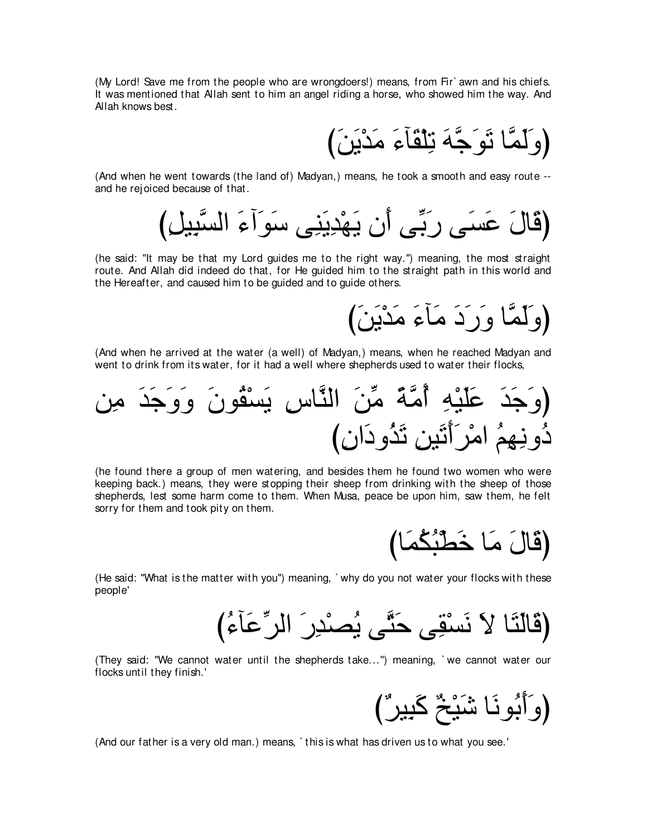(My Lord! Save me from the people who are wrongdoers!) means, from Fir` awn and his chiefs. It was mentioned that Allah sent to him an angel riding a horse, who showed him the way. And Allah knows best.

(وَ لَمَّا نَوَ جَّهَ نَبِلْقَآءَ مَدْيَنَ)

(And when he went towards (the land of) Madyan,) means, he took a smooth and easy route - and he rej oiced because of that.

﴿قَالَ عَسَى رَبِّي أَن يَهْدِيَنِي سَوَاۤءَ السَّبِيلِ)

(he said: "It may be that my Lord guides me to the right way.'') meaning, the most straight route. And Allah did indeed do that, for He guided him to the straight path in this world and the Hereafter, and caused him to be guided and to guide others.

(وَلَمَّا وَرَدَ مَاءَ مَدْيَنَ)

(And when he arrived at the water (a well) of Madyan,) means, when he reached Madyan and went to drink from its water, for it had a well where shepherds used to water their flocks,



(he found there a group of men watering, and besides them he found two women who were keeping back.) means, they were stopping their sheep from drinking with the sheep of those shepherds, lest some harm come to them. When Musa, peace be upon him, saw them, he felt sorry for them and took pity on them.

びゅ∠ヨ⊥ム⊥ら∇ト∠カ ゅ∠ョ ∠メゅ∠ホぴ

(He said: "What is the matter with you'') meaning, ` why do you not water your flocks with these people'

び⊥¬べ∠ハあゲャや ∠ケ⌒ギ∇ダ⊥Α ヴzわ∠ェ ヴ⌒ボ∇ジ∠ル ∠Ι ゅ∠わ∠ャゅ∠ホぴ

(They said: "We cannot water until the shepherds take...'') meaning, ` we cannot water our flocks until they finish.'

(وَأَبُونَا شَيْخٌ كَبِيرٌ )

(And our father is a very old man.) means, ` this is what has driven us to what you see.'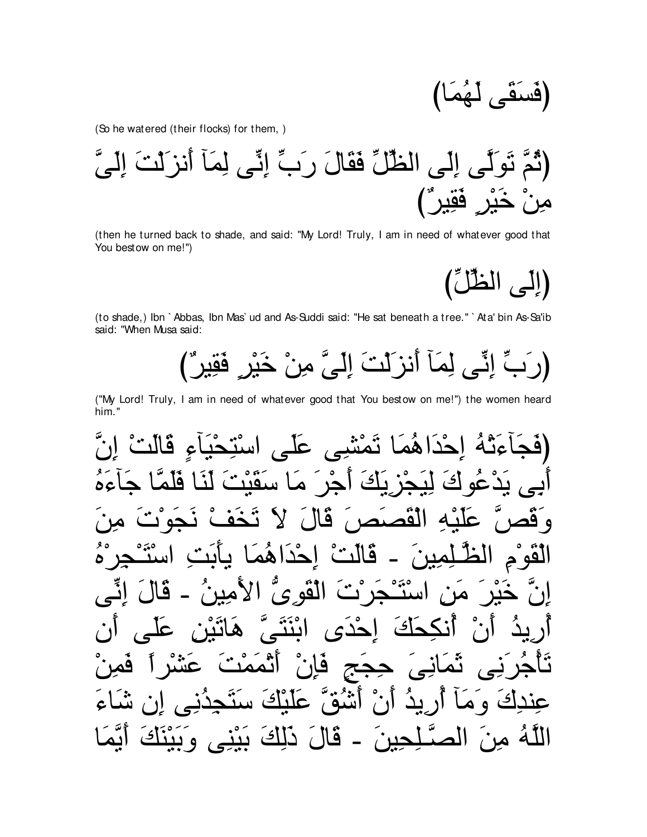$$
\left(\tilde{\text{e}} \tilde{\text{e}} \tilde{\text{e}} \tilde{\text{e}} \right)
$$

(So he watered (their flocks) for them, )

(then he turned back to shade, and said: "My Lord! Truly, I am in need of whatever good that You bestow on me!")

(إِلَى الظُّلِّ)

(to shade,) Ibn `Abbas, Ibn Mas`ud and As-Suddi said: "He sat beneath a tree." `Ata' bin As-Sa'ib said: "When Musa said:

(رَبِّ إِنِّي لِمَاۤ أَنزَلْتَ إِلَيَّ مِنْ خَبْرٍ فَقِيرٌ )

("My Lord! Truly, I am in need of whatever good that You bestow on me!") the women heard him."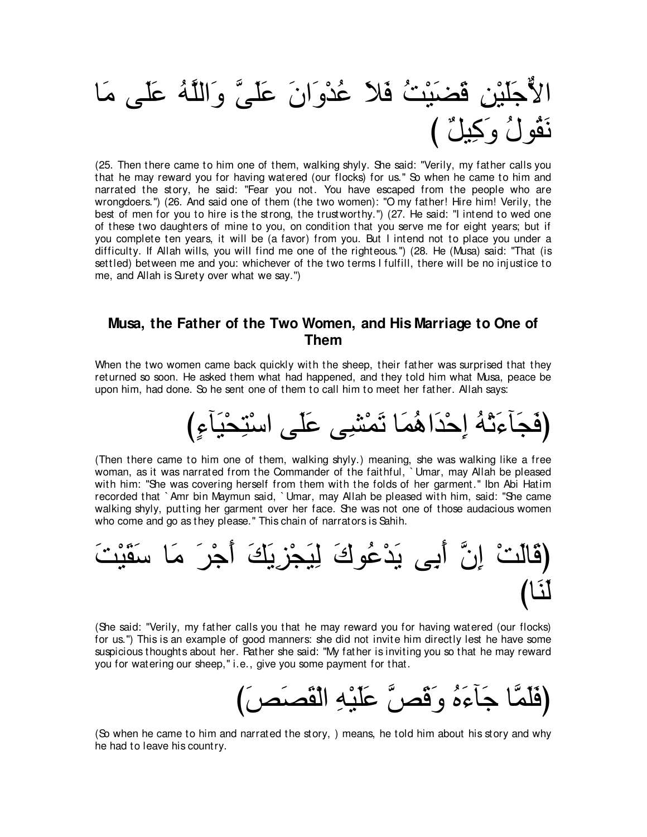

(25. Then there came to him one of them, walking shyly. She said: "Verily, my father calls you that he may reward you for having watered (our flocks) for us.'' So when he came to him and narrated the story, he said: "Fear you not. You have escaped from the people who are wrongdoers.'') (26. And said one of them (the two women): "O my father! Hire him! Verily, the best of men for you to hire is the strong, the trustworthy.'') (27. He said: "I intend to wed one of these two daughters of mine to you, on condition that you serve me for eight years; but if you complete ten years, it will be (a favor) from you. But I intend not to place you under a difficulty. If Allah wills, you will find me one of the righteous.") (28. He (Musa) said: "That (is settled) between me and you: whichever of the two terms I fulfill, there will be no inj ustice to me, and Allah is Surety over what we say.'')

#### **Musa, the Father of the Two Women, and His Marriage to One of Them**

When the two women came back quickly with the sheep, their father was surprised that they returned so soon. He asked them what had happened, and they told him what Musa, peace be upon him, had done. So he sent one of them to call him to meet her father. Allah says:

び∃¬べ∠Β∇エ⌒わ∇シや ヴ∠ヤ∠ハ ヴ⌒ゼ∇ヨ∠ゎ ゅ∠ヨ⊥ワや∠ギ∇ェ⌒ま ⊥ヮ∇ゎ∠¬べ∠イ∠プぴ

(Then there came to him one of them, walking shyly.) meaning, she was walking like a free woman, as it was narrated from the Commander of the faithful, ` Umar, may Allah be pleased with him: "She was covering herself from them with the folds of her garment.'' Ibn Abi Hatim recorded that ` Amr bin Maymun said, ` Umar, may Allah be pleased with him, said: "She came walking shyly, putting her garment over her face. She was not one of those audacious women who come and go as they please." This chain of narrators is Sahih.



(She said: "Verily, my father calls you that he may reward you for having watered (our flocks) for us.'') This is an example of good manners: she did not invite him directly lest he have some suspicious thoughts about her. Rather she said: "My father is inviting you so that he may reward you for watering our sheep," i.e., give you some payment for that.

び∠ゾ∠ダ∠ボ∇ャや ⌒ヮ∇Β∠ヤ∠ハ zゾ∠ホ∠ヱ ⊥ロ∠¬べ∠ィ ゅzヨ∠ヤ∠プぴ

(So when he came to him and narrated the story, ) means, he told him about his story and why he had to leave his country.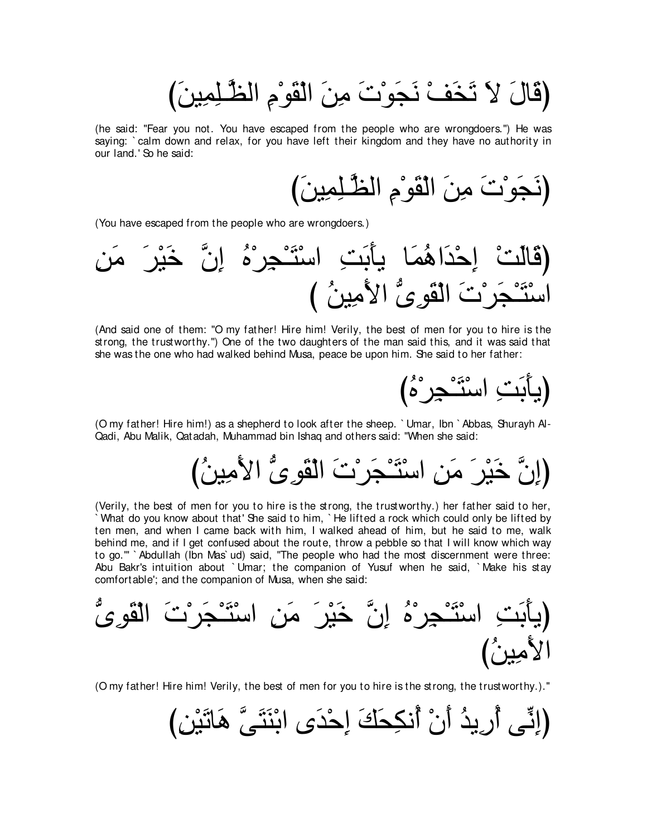び∠リΒ⌒ヨ⌒ヤ⇒zヌャや ⌒ュ∇ヲ∠ボ∇ャや ∠リ⌒ョ ∠れ∇ヲ∠イ∠ル ∇ブ∠ガ∠ゎ ∠Ι ∠メゅ∠ホぴ

(he said: "Fear you not. You have escaped from the people who are wrongdoers.'') He was saying: ` calm down and relax, for you have left their kingdom and they have no authority in our land.' So he said:

び∠リΒ⌒ヨ⌒ヤ⇒zヌャや ⌒ュ∇ヲ∠ボ∇ャや ∠リ⌒ョ ∠れ∇ヲ∠イ∠ルぴ

(You have escaped from the people who are wrongdoers.)

⌒リ∠ョ ∠ゲ∇Β∠カ zラ⌒ま ⊥ロ∇ゲ⌒イ∇⇒∠わ∇シや ⌒ろ∠よ∠ほΑ ゅ∠ヨ⊥ワや∠ギ∇ェ⌒ま ∇ろ∠ャゅ∠ホぴ び ⊥リΒ⌒ョ∠Εや ぁン⌒ヲ∠ボ∇ャや ∠れ∇ゲ∠イ∇⇒∠わ∇シや

(And said one of them: "O my father! Hire him! Verily, the best of men for you to hire is the strong, the trustworthy.'') One of the two daughters of the man said this, and it was said that she was the one who had walked behind Musa, peace be upon him. She said to her father:

び⊥ロ∇ゲ⌒イ∇⇒∠わ∇シや ⌒ろ∠よ∠ほΑぴ

(O my father! Hire him!) as a shepherd to look after the sheep. ` Umar, Ibn ` Abbas, Shurayh Al-Qadi, Abu Malik, Qatadah, Muhammad bin Ishaq and others said: "When she said:

び⊥リΒ⌒ョ∠Εや ぁン⌒ヲ∠ボ∇ャや ∠れ∇ゲ∠イ∇⇒∠わ∇シや ⌒リ∠ョ ∠ゲ∇Β∠カ zラ⌒まぴ

(Verily, the best of men for you to hire is the strong, the trustworthy.) her father said to her, ` What do you know about that' She said to him, ` He lifted a rock which could only be lifted by ten men, and when I came back with him, I walked ahead of him, but he said to me, walk behind me, and if I get confused about the route, throw a pebble so that I will know which way to go.''' ` Abdullah (Ibn Mas` ud) said, "The people who had the most discernment were three: Abu Bakr's intuition about ` Umar; the companion of Yusuf when he said, ` Make his stay comfortable'; and the companion of Musa, when she said:

(يأَبَتِ اسُتَّحِرَّهُ إِنَّ خَيْرَ مَن اسُتَّجَرُتَ الَقُوِىُّ
$$
\frac{1}{2}
$$
ا

(O my father! Hire him! Verily, the best of men for you to hire is the strong, the trustworthy.).''

び⌒リ∇Β∠ゎゅ∠ワ zヴ∠わ∠レ∇よや ン∠ギ∇ェ⌒ま ∠マ∠エ⌒ムル⊥ぺ ∇ラ∠ぺ ⊥ギΑ⌒ケ⊥ぺ ヴあル⌒まぴ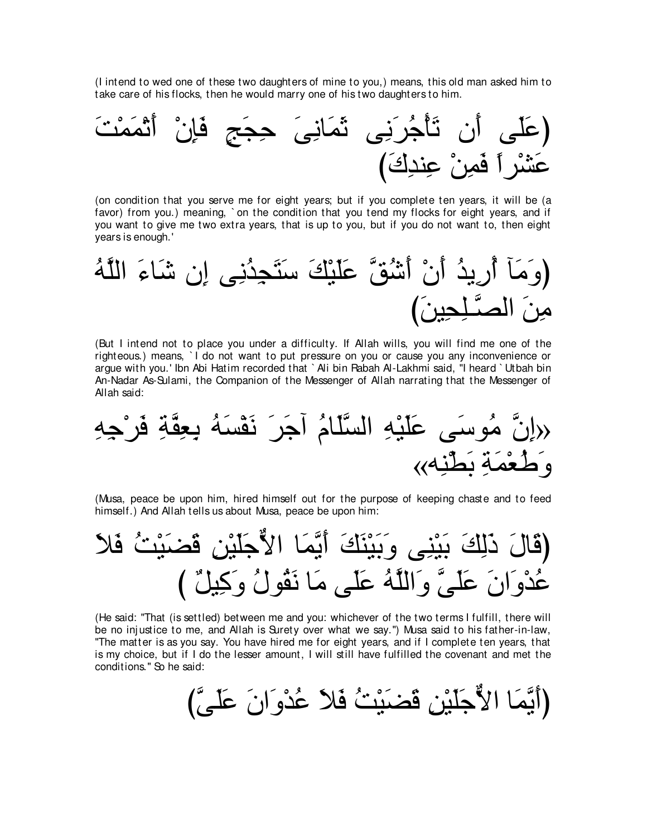(I intend to wed one of these two daughters of mine to you,) means, this old man asked him to take care of his flocks, then he would marry one of his two daughters to him.



(on condition that you serve me for eight years; but if you complete ten years, it will be (a favor) from you.) meaning, `on the condition that you tend my flocks for eight years, and if you want to give me two extra years, that is up to you, but if you do not want to, then eight years is enough.'



(But I intend not to place you under a difficulty. If Allah wills, you will find me one of the righteous.) means, ` I do not want to put pressure on you or cause you any inconvenience or argue with you.' Ibn Abi Hatim recorded that ` Ali bin Rabah Al-Lakhmi said, "I heard ` Utbah bin An-Nadar As-Sulami, the Companion of the Messenger of Allah narrating that the Messenger of Allah said:

(راِنَّ مُوسَى عَلَيٰهِ السَّلَّامُ اَجَرَ نَقُسَهُ يعِقَّةِ فَرُجِهِ
$$
ext{وَطُعُمَةِ بَطُنِهِ،
$$

(Musa, peace be upon him, hired himself out for the purpose of keeping chaste and to feed himself.) And Allah tells us about Musa, peace be upon him:

∠Κ∠プ ⊥ろ∇Β∠ツ∠ホ ⌒リ∇Β∠ヤ∠ィxΙや ゅ∠ヨzΑ∠ぺ ∠マ∠レ∇Β∠よ∠ヱ ヴ⌒レ∇Β∠よ ∠マ⌒ャ∠ク ∠メゅ∠ホぴ び ∀モΒ⌒ミ∠ヱ ⊥メヲ⊥ボ∠ル ゅ∠ョ ヴ∠ヤ∠ハ ⊥ヮzヤャや∠ヱ zヴ∠ヤ∠ハ ∠ラや∠ヱ∇ギ⊥ハ

(He said: "That (is settled) between me and you: whichever of the two terms I fulfill, there will be no inj ustice to me, and Allah is Surety over what we say.'') Musa said to his father-in-law, "The matter is as you say. You have hired me for eight years, and if I complete ten years, that is my choice, but if I do the lesser amount, I will still have fulfilled the covenant and met the conditions.'' So he said:

びzヴ∠ヤ∠ハ ∠ラや∠ヱ∇ギ⊥ハ ∠Κ∠プ ⊥ろ∇Β∠ツ∠ホ ⌒リ∇Β∠ヤ∠ィxΙや ゅ∠ヨzΑ∠ぺぴ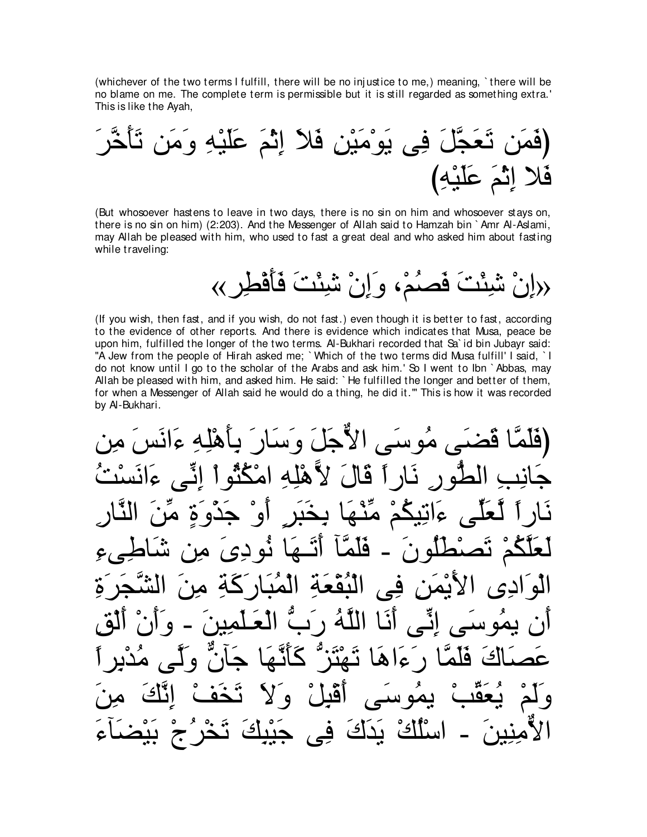(whichever of the two terms I fulfill, there will be no inj ustice to me,) meaning, ` there will be no blame on me. The complete term is permissible but it is still regarded as something extra.' This is like the Ayah,

∠ゲzカ∠ほ∠ゎ リ∠ョ∠ヱ ⌒ヮ∇Β∠ヤ∠ハ ∠ユ∇を⌒ま ∠Κ∠プ ⌒リ∇Β∠ョ∇ヲ∠Α ヴ⌒プ ∠モzイ∠バ∠ゎ リ∠ヨ∠プぴ び⌒ヮ∇Β∠ヤ∠ハ ∠ユ∇を⌒ま Κ∠プ

(But whosoever hastens to leave in two days, there is no sin on him and whosoever stays on, there is no sin on him) (2:203). And the Messenger of Allah said to Hamzah bin ` Amr Al-Aslami, may Allah be pleased with him, who used to fast a great deal and who asked him about fasting while traveling:

«إِنْ شَمِنْتَ فَصَدُه وَإِنْ شَمِنْتَ فَأَفْطِرٍ »

(If you wish, then fast, and if you wish, do not fast.) even though it is better to fast, according to the evidence of other reports. And there is evidence which indicates that Musa, peace be upon him, fulfilled the longer of the two terms. Al-Bukhari recorded that Sa` id bin Jubayr said: "A Jew from the people of Hirah asked me; `Which of the two terms did Musa fulfill' I said, `I do not know until I go to the scholar of the Arabs and ask him.' So I went to Ibn ` Abbas, may Allah be pleased with him, and asked him. He said: ` He fulfilled the longer and better of them, for when a Messenger of Allah said he would do a thing, he did it.''' This is how it was recorded by Al-Bukhari.

حَيِّي مُوسَى الأَّجَلَ وَسَارٍ َ بِأَهْلِهِ ءَانَس ورِ نَارِ أَ قَالَ لأَهْلِهِ امْكُنُّو عَ|نَعَكُمْ هِنَّقَا يِخْيَزِ ∫و لَعَلَّكُمْ تَصْطُلُونَ − فَلَمَّا أَتَــهَا نُودِیَ مِن شَاطِـیءِ الْوَادِى الأَيْمَنِ فِى الْبُقْعَةِ الْمُبَارَكَةِ مِنَ الشَّجَرَةِ أن يمُوسَى إنِّي أَنَا اللَّهُ رَبَّ الْعَلْمِينَ - وَأَنْ أَلْق عَصَاكَ فَلَمَّا رَءَاهَا تَهْتَز ٌ كَأَنَّهَا جَأَنَّ وَلَّمى مُدْبِرٍ أ وَلَمْ يُعَقِّبْ يمُوسَى أَقْبِلْ وَلاَ تَخَفْ إِنَّكَ مِنَ الأمِنِينَ ــ اسْلُكُ يَدَكَ فِى جَيْبِكَ تَخْرُجْ بَيْضَنَاءَ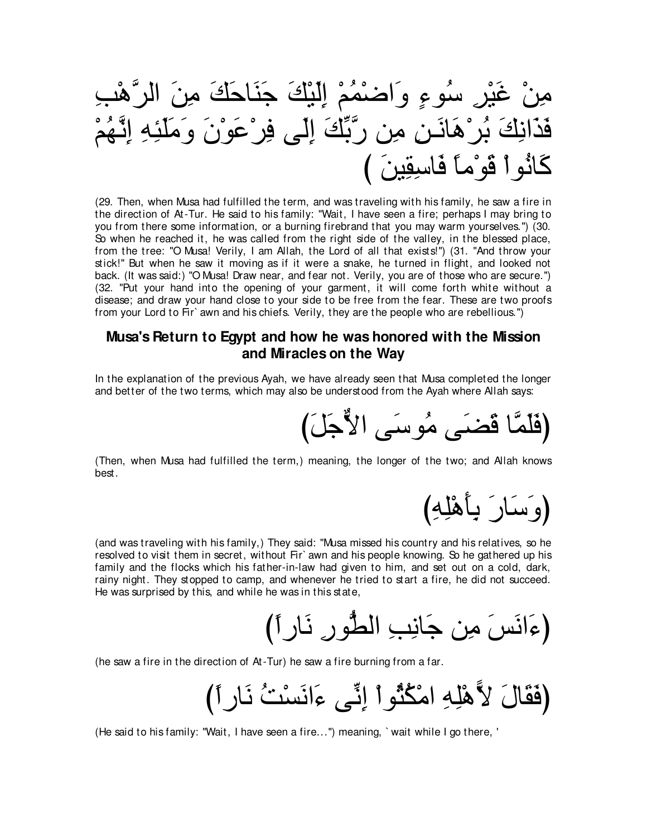⌒ょ∇ワzゲャや ∠リ⌒ョ ∠マ∠ェゅ∠レ∠ィ ∠マ∇Β∠ャ⌒ま ∇ユ⊥ヨ∇ッや∠ヱ ∃¬ヲ⊥シ ⌒ゲ∇Β∠ビ ∇リ⌒ョ ∇ユ⊥ヰzル⌒ま ⌒ヮ⌒ゃ∠ヤ∠ョ∠ヱ ∠ラ∇ヲ∠ハ∇ゲ⌒プ ヴ∠ャ⌒ま ∠マあよzケ リ⌒ョ ⌒リ⇒∠ルゅ∠ワ∇ゲ⊥よ ∠マ⌒ルや∠グ∠プ び ∠リΒ⌒ボ⌒シゅ∠プ ⇔ゅョ∇ヲ∠ホ ∇やヲ⊥ルゅ∠ミ

(29. Then, when Musa had fulfilled the term, and was traveling with his family, he saw a fire in the direction of At-Tur. He said to his family: "Wait, I have seen a fire; perhaps I may bring to you from there some information, or a burning firebrand that you may warm yourselves.'') (30. So when he reached it, he was called from the right side of the valley, in the blessed place, from the tree: "O Musa! Verily, I am Allah, the Lord of all that exists!'') (31. "And throw your stick!'' But when he saw it moving as if it were a snake, he turned in flight, and looked not back. (It was said:) "O Musa! Draw near, and fear not. Verily, you are of those who are secure.'') (32. "Put your hand into the opening of your garment, it will come forth white without a disease; and draw your hand close to your side to be free from the fear. These are two proofs from your Lord to Fir` awn and his chiefs. Verily, they are the people who are rebellious.'')

## **Musa's Return to Egypt and how he was honored with the Mission and Miracles on the Way**

In the explanation of the previous Ayah, we have already seen that Musa completed the longer and better of the two terms, which may also be understood from the Ayah where Allah says:

び∠モ∠ィxΙや ヴ∠シヲ⊥ョ ヴ∠ツ∠ホ ゅzヨ∠ヤ∠プぴ

(Then, when Musa had fulfilled the term,) meaning, the longer of the two; and Allah knows best.

(وَسَارَ بِأَهْلِهِ)

(and was traveling with his family,) They said: "Musa missed his country and his relatives, so he resolved to visit them in secret, without Fir` awn and his people knowing. So he gathered up his family and the flocks which his father-in-law had given to him, and set out on a cold, dark, rainy night. They stopped to camp, and whenever he tried to start a fire, he did not succeed. He was surprised by this, and while he was in this state,

び⇔やケゅ∠ル ⌒ケヲぁトャや ⌒ょ⌒ルゅ∠ィ リ⌒ョ ∠ザ∠ルや∠¬ぴ

(he saw a fire in the direction of At-Tur) he saw a fire burning from a far.

び⇔やケゅ∠ル ⊥ろ∇ジ∠ルや∠¬ ヴあル⌒ま ∇やヲ⊥ん⊥ム∇ョや ⌒ヮ⌒ヤ∇ワ6Ι ∠メゅ∠ボ∠プぴ

(He said to his family: "Wait, I have seen a fire...'') meaning, ` wait while I go there, '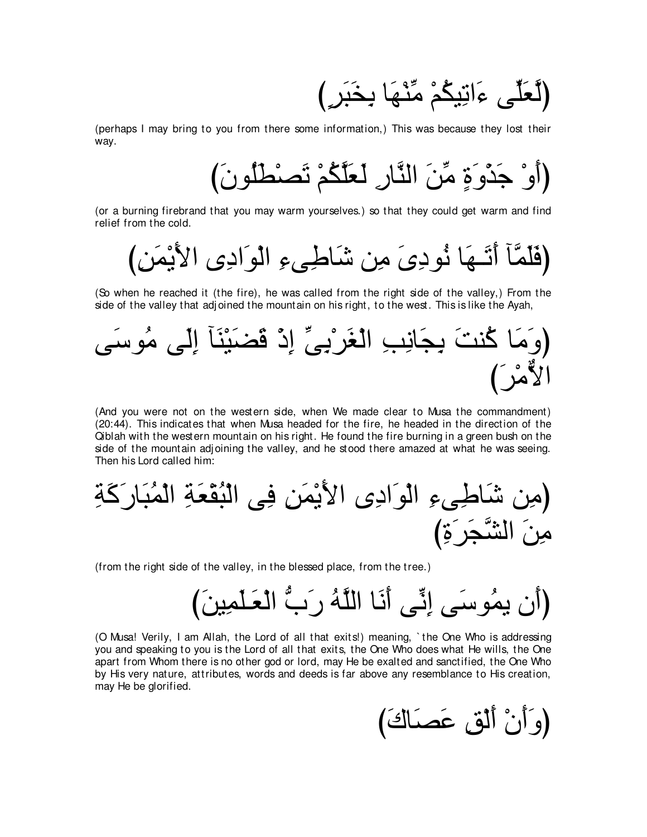(لَعَلِّي ءَاتِيكُمْ مِّنْهَا بِخَبَرٍ )

(perhaps I may bring to you from there some information,) This was because they lost their way.

び∠ラヲ⊥ヤ∠ト∇ダ∠ゎ ∇ユ⊥ムzヤ∠バ∠ャ ⌒ケゅzレャや ∠リあョ ∃り∠ヱ∇グ∠ィ ∇ヱ∠ぺぴ

(or a burning firebrand that you may warm yourselves.) so that they could get warm and find relief from the cold.

び⌒リ∠ヨ∇Α∠Εや ン⌒キや∠ヲ∇ャや ⌒¬ヴ⌒デゅ∠セ リ⌒ョ ∠ン⌒キヲ⊥ル ゅ∠ヰ⇒∠ゎ∠ぺ べzヨ∠ヤ∠プぴ

(So when he reached it (the fire), he was called from the right side of the valley,) From the side of the valley that adjoined the mountain on his right, to the west. This is like the Ayah,



(And you were not on the western side, when We made clear to Musa the commandment) (20:44). This indicates that when Musa headed for the fire, he headed in the direction of the Qiblah with the western mountain on his right. He found the fire burning in a green bush on the side of the mountain adjoining the valley, and he stood there amazed at what he was seeing. Then his Lord called him:

⌒る∠ミ∠ケゅ∠ら⊥ヨ∇ャや ⌒る∠バ∇ボ⊥ら∇ャや ヴ⌒プ ⌒リ∠ヨ∇Α∠Εや ン⌒キや∠ヲ∇ャや ⌒¬ヴ⌒デゅ∠セ リ⌒ョぴ び⌒り∠ゲ∠イzゼャや ∠リ⌒ョ

(from the right side of the valley, in the blessed place, from the tree.)

び∠リΒ⌒ヨ∠ヤ⇒∠バ∇ャや ぁゆ∠ケ ⊥ヮzヤャや ゅ∠ル∠ぺ ヴあル⌒ま ヴ∠シヲ⊥ヨΑ ラ∠ぺぴ

(O Musa! Verily, I am Allah, the Lord of all that exits!) meaning, ` the One Who is addressing you and speaking to you is the Lord of all that exits, the One Who does what He wills, the One apart from Whom there is no other god or lord, may He be exalted and sanctified, the One Who by His very nature, attributes, words and deeds is far above any resemblance to His creation, may He be glorified.

(وَأَنْ أَلْقٍ عَصَاكَ)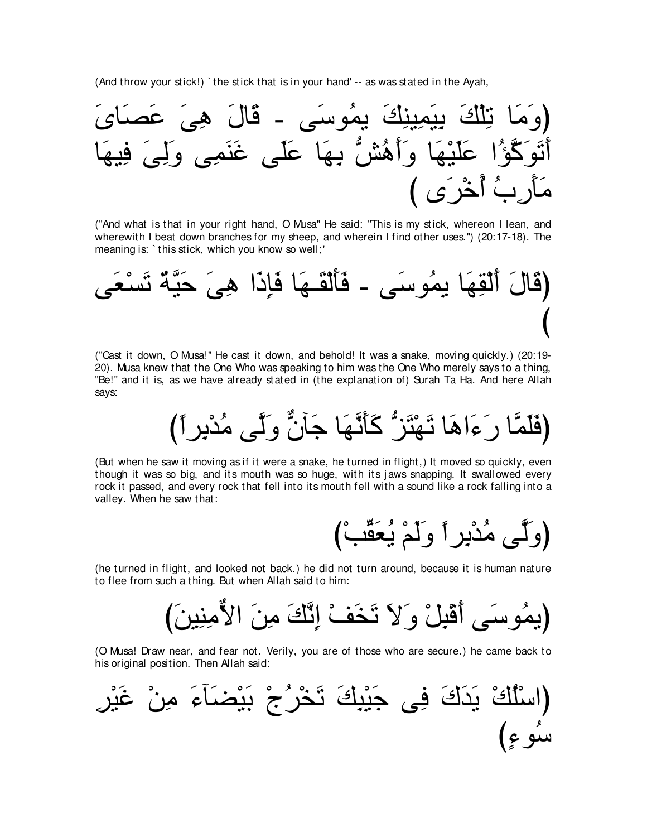(And throw your stick!) ` the stick that is in your hand' -- as was stated in the Ayah,



("And what is that in your right hand, O Musa'' He said: "This is my stick, whereon I lean, and wherewith I beat down branches for my sheep, and wherein I find other uses.'') (20:17-18). The meaning is: ` this stick, which you know so well;'



("Cast it down, O Musa!'' He cast it down, and behold! It was a snake, moving quickly.) (20:19- 20). Musa knew that the One Who was speaking to him was the One Who merely says to a thing, "Be!'' and it is, as we have already stated in (the explanation of) Surah Ta Ha. And here Allah says:

び⇔やゲ⌒よ∇ギ⊥ョ ヴzャ∠ヱ xラべ∠ィ ゅ∠ヰzル∠ほ∠ミ ぁゴ∠わ∇ヰ∠ゎ ゅ∠ワや∠¬∠ケ ゅzヨ∠ヤ∠プぴ

(But when he saw it moving as if it were a snake, he turned in flight,) It moved so quickly, even though it was so big, and its mouth was so huge, with its j aws snapping. It swallowed every rock it passed, and every rock that fell into its mouth fell with a sound like a rock falling into a valley. When he saw that:

(وَلَّـى مُدْبِرٍ∫ وَلَمْ يُعَقَّبْ)

(he turned in flight, and looked not back.) he did not turn around, because it is human nature to flee from such a thing. But when Allah said to him:

び∠リΒ⌒レ⌒ョxΙや ∠リ⌒ョ ∠マzル⌒ま ∇ブ∠ガ∠ゎ ∠Ι∠ヱ ∇モ⌒ら∇ホ∠ぺ ヴ∠シヲ⊥ヨΑぴ

(O Musa! Draw near, and fear not. Verily, you are of those who are secure.) he came back to his original position. Then Allah said:

⌒ゲ∇Β∠ビ ∇リ⌒ョ ∠¬べ∠ツ∇Β∠よ ∇ァ⊥ゲ∇ガ∠ゎ ∠マ⌒ら∇Β∠ィ ヴ⌒プ ∠ポ∠ギ∠Α ∇マ⊥ヤ∇シやぴ び∃¬ヲ⊥シ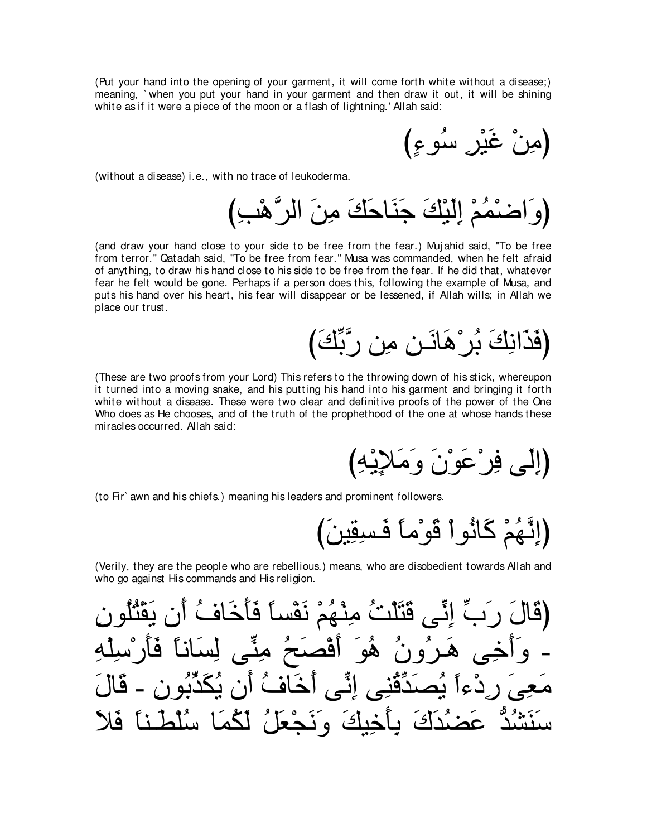(Put your hand into the opening of your garment, it will come forth white without a disease;) meaning, ` when you put your hand in your garment and then draw it out, it will be shining white as if it were a piece of the moon or a flash of lightning.' Allah said:

(مِنْ غَيْرِ سُوءِ)

(without a disease) i.e., with no trace of leukoderma.

び⌒ょ∇ワzゲャや ∠リ⌒ョ ∠マ∠ェゅ∠レ∠ィ ∠マ∇Β∠ャ⌒ま ∇ユ⊥ヨ∇ッや∠ヱぴ

(and draw your hand close to your side to be free from the fear.) Muj ahid said, "To be free from terror.'' Qatadah said, "To be free from fear.'' Musa was commanded, when he felt afraid of anything, to draw his hand close to his side to be free from the fear. If he did that, whatever fear he felt would be gone. Perhaps if a person does this, following the example of Musa, and puts his hand over his heart, his fear will disappear or be lessened, if Allah wills; in Allah we place our trust.

## (فَذَانِكَ بُر ْهَانَــن مِن رَّبِّكَ)

(These are two proofs from your Lord) This refers to the throwing down of his stick, whereupon it turned into a moving snake, and his putting his hand into his garment and bringing it forth white without a disease. These were two clear and definitive proofs of the power of the One Who does as He chooses, and of the truth of the prophethood of the one at whose hands these miracles occurred. Allah said:

(إِلَى فِرْعَوْنَ وَمَ

(to Fir` awn and his chiefs.) meaning his leaders and prominent followers.

び∠リΒ⌒ボ⌒ジ⇒∠プ ⇔ゅョ∇ヲ∠ホ ∇やヲ⊥ルゅ∠ミ ∇ユ⊥ヰzル⌒まぴ

(Verily, they are the people who are rebellious.) means, who are disobedient towards Allah and who go against His commands and His religion.

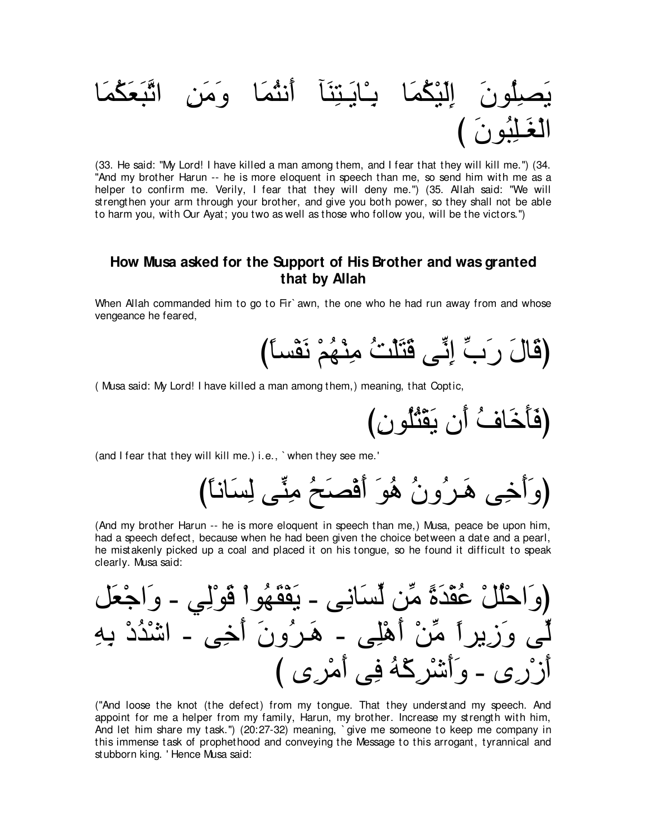

(33. He said: "My Lord! I have killed a man among them, and I fear that they will kill me.") (34. "And my brother Harun -- he is more eloquent in speech than me, so send him with me as a helper to confirm me. Verily, I fear that they will deny me.") (35. Allah said: "We will strengthen your arm through your brother, and give you both power, so they shall not be able to harm you, with Our Ayat; you two as well as those who follow you, will be the victors.")

## How Musa asked for the Support of His Brother and was granted that by Allah

When Allah commanded him to go to Fir`awn, the one who he had run away from and whose vengeance he feared.

(Musa said: My Lord! I have killed a man among them,) meaning, that Coptic,

(and I fear that they will kill me.) i.e., `when they see me.'

(And my brother Harun -- he is more eloquent in speech than me,) Musa, peace be upon him, had a speech defect, because when he had been given the choice between a date and a pearl, he mistakenly picked up a coal and placed it on his tongue, so he found it difficult to speak clearly. Musa said:

("And loose the knot (the defect) from my tongue. That they understand my speech. And appoint for me a helper from my family. Harun, my brother, Increase my strength with him. And let him share my task.") (20:27-32) meaning, `give me someone to keep me company in this immense task of prophethood and conveying the Message to this arrogant, tyrannical and stubborn king. 'Hence Musa said: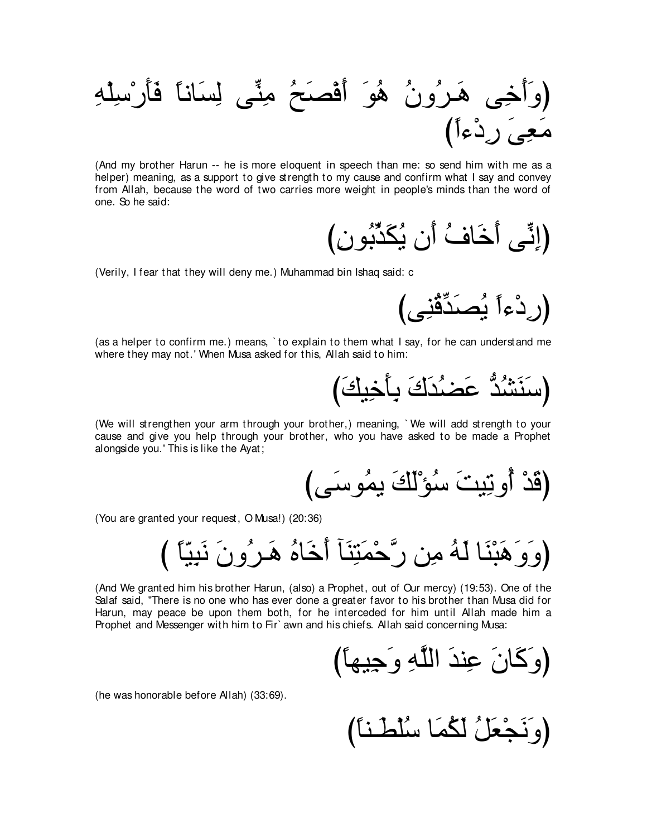⌒ヮ∇ヤ⌒シ∇ケ∠ほ∠プ ⇔ゅルゅ∠ジ⌒ャ ヴあレ⌒ョ ⊥ウ∠ダ∇プ∠ぺ ∠ヲ⊥ワ ⊥ラヱ⊥ゲ⇒∠ワ ヴ⌒カ∠ぺ∠ヱぴ び⇔や¬∇キ⌒ケ ∠ヴ⌒バ∠ョ

(And my brother Harun -- he is more eloquent in speech than me: so send him with me as a helper) meaning, as a support to give strength to my cause and confirm what I say and convey from Allah, because the word of two carries more weight in people's minds than the word of one. So he said:

び⌒ラヲ⊥よあグ∠ム⊥Α ラ∠ぺ ⊥フゅ∠カ∠ぺ ヴあル⌒まぴ

(Verily, I fear that they will deny me.) Muhammad bin Ishaq said: c

びヴ⌒レ⊥ホあギ∠ダ⊥Α ⇔や¬∇キ⌒ケぴ

(as a helper to confirm me.) means, ` to explain to them what I say, for he can understand me where they may not.' When Musa asked for this, Allah said to him:

び∠マΒ⌒カ∠ほ⌒よ ∠ポ∠ギ⊥ツ∠ハ ぁギ⊥ゼ∠レ∠シぴ

(We will strengthen your arm through your brother,) meaning, ` We will add strength to your cause and give you help through your brother, who you have asked to be made a Prophet alongside you.' This is like the Ayat;

びヴ∠シヲ⊥ヨΑ ∠マ∠ャ∇ぽ⊥シ ∠ろΒ⌒ゎヱ⊥ぺ ∇ギ∠ホぴ

(You are granted your request, O Musa!) (20:36)

び ⇔ゅ∂Β⌒ら∠ル ∠ラヱ⊥ゲ⇒∠ワ ⊥ロゅ∠カ∠ぺ べ∠レ⌒わ∠ヨ∇ェzケ リ⌒ョ ⊥ヮ∠ャ ゅ∠レ∇ら∠ワ∠ヱ∠ヱぴ

(And We granted him his brother Harun, (also) a Prophet, out of Our mercy) (19:53). One of the Salaf said, "There is no one who has ever done a greater favor to his brother than Musa did for Harun, may peace be upon them both, for he interceded for him until Allah made him a Prophet and Messenger with him to Fir` awn and his chiefs. Allah said concerning Musa:

び⇔ゅヰΒ⌒ィ∠ヱ ⌒ヮzヤャや ∠ギレ⌒ハ ∠ラゅ∠ミ∠ヱぴ

(he was honorable before Allah) (33:69).

び⇔ゅレ⇒∠ト∇ヤ⊥シ ゅ∠ヨ⊥ム∠ャ ⊥モ∠バ∇イ∠ル∠ヱぴ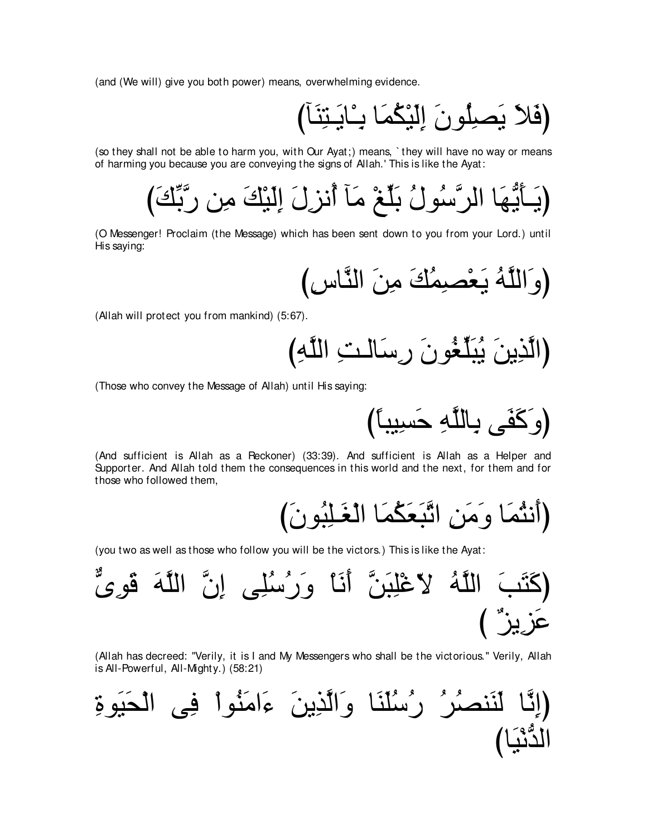(and (We will) give you both power) means, overwhelming evidence.

びべ∠レ⌒わ⇒∠Αゅ∇⇒⌒よ ゅ∠ヨ⊥ム∇Β∠ャ⌒ま ∠ラヲ⊥ヤ⌒ダ∠Α ∠Κ∠プぴ

(so they shall not be able to harm you, with Our Ayat;) means, ` they will have no way or means of harming you because you are conveying the signs of Allah.' This is like the Ayat:

び∠マあよzケ リ⌒ョ ∠マ∇Β∠ャ⌒ま ∠メ⌒ゴル⊥ぺ べ∠ョ ∇ヒあヤ∠よ ⊥メヲ⊥シzゲャや ゅ∠ヰぁΑ∠ほ⇒∠Αぴ

(O Messenger! Proclaim (the Message) which has been sent down to you from your Lord.) until His saying:

び⌒サゅzレャや ∠リ⌒ョ ∠マ⊥ヨ⌒ダ∇バ∠Α ⊥ヮzヤャや∠ヱぴ

(Allah will protect you from mankind) (5:67).

び⌒ヮzヤャや ⌒ろ⇒ャゅ∠シ⌒ケ ∠ラヲ⊥ピあヤ∠ら⊥Α ∠リΑ⌒グzャやぴ

(Those who convey the Message of Allah) until His saying:

び⇔ゅらΒ⌒ジ∠ェ ⌒ヮzヤャゅ⌒よ ヴ∠ヘ∠ミ∠ヱぴ

(And sufficient is Allah as a Reckoner) (33:39). And sufficient is Allah as a Helper and Supporter. And Allah told them the consequences in this world and the next, for them and for those who followed them,

び∠ラヲ⊥ら⌒ヤ⇒∠ピ∇ャや ゅ∠ヨ⊥ム∠バ∠らzゎや ⌒リ∠ョ∠ヱ ゅ∠ヨ⊥わル∠ぺぴ

(you two as well as those who follow you will be the victors.) This is like the Ayat:

(كَتَبَ الَلَّهُ لاَعُلِبَنَّ أَنَا وَرُسُلِى إِنَّ الَلَّهَ قَوىُّ
$$
\ddot{\mathbf{a}}
$$

(Allah has decreed: "Verily, it is I and My Messengers who shall be the victorious.'' Verily, Allah is All-Powerful, All-Mighty.) (58:21)

⌒りヲ∠Β∠エ∇ャや ヴ⌒プ ∇やヲ⊥レ∠ョや∠¬ ∠リΑ⌒グzャや∠ヱ ゅ∠レ∠ヤ⊥シ⊥ケ ⊥ゲ⊥ダレ∠レ∠ャ ゅzル⌒まぴ びゅ∠Β∇ルぁギャや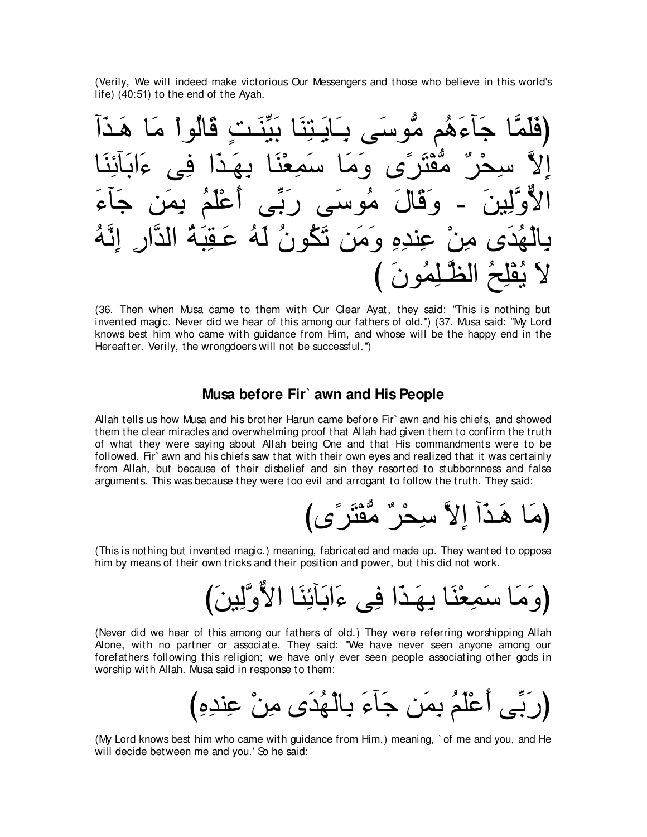(Verily, We will indeed make victorious Our Messengers and those who believe in this world's life) (40:51) to the end of the Ayah.

(قَلَمَّا جَاَءَهُم مُّوسَي بَابَيَنَا بَبَّذَتِ قَالُواٌ مَا هَدَاَّ  
الِلاُ سِحُرٌ مُقُتَرَى وَمَا سَمِعُنَا بِهَدَا فيءَابَآئِنَا  
الاُوَّلِينَ – وَقَالَ مُوسَى رَبِّى أُعَلَمُ بِمنَ جَانَ جَانَ مُةِ تَلَهُ وَسَ تَكُونُ لَهُ عَقِبَهُّ الَدَّارِ إِنَّهُ
$$
Y = 4
$$
وَقَالِمُوَنَ وَمَن تَكُونُ لَهُ عَقِبَهُّ الَدَّارِ إِنَّهُ

(36. Then when Musa came to them with Our Clear Ayat, they said: "This is nothing but invented magic. Never did we hear of this among our fathers of old.'') (37. Musa said: "My Lord knows best him who came with guidance from Him, and whose will be the happy end in the Hereafter. Verily, the wrongdoers will not be successful.'')

#### **Musa before Fir` awn and His People**

Allah tells us how Musa and his brother Harun came before Fir` awn and his chiefs, and showed them the clear miracles and overwhelming proof that Allah had given them to confirm the truth of what they were saying about Allah being One and that His commandments were to be followed. Fir` awn and his chiefs saw that with their own eyes and realized that it was certainly from Allah, but because of their disbelief and sin they resorted to stubbornness and false arguments. This was because they were too evil and arrogant to follow the truth. They said:

びン⇔ゲ∠わ∇ヘぁョ ∀ゲ∇エ⌒シ zΙ⌒ま へ∠グ⇒∠ワ ゅ∠ョぴ

(This is nothing but invented magic.) meaning, fabricated and made up. They wanted to oppose him by means of their own tricks and their position and power, but this did not work.

び∠リΒ⌒ャzヱxΙや ゅ∠レ⌒もべ∠よや∠¬ ヴ⌒プ や∠グ⇒∠ヰ⌒よ ゅ∠レ∇バ⌒ヨ∠シ ゅ∠ョ∠ヱぴ

(Never did we hear of this among our fathers of old.) They were referring worshipping Allah Alone, with no partner or associate. They said: "We have never seen anyone among our forefathers following this religion; we have only ever seen people associating other gods in worship with Allah. Musa said in response to them:

び⌒ロ⌒ギレ⌒ハ ∇リ⌒ョ ン∠ギ⊥ヰ∇ャゅ⌒よ ∠¬べ∠ィ リ∠ヨ⌒よ ⊥ユ∠ヤ∇ハ∠ぺ ヴあよ∠ケぴ

(My Lord knows best him who came with guidance from Him,) meaning, ` of me and you, and He will decide between me and you.' So he said: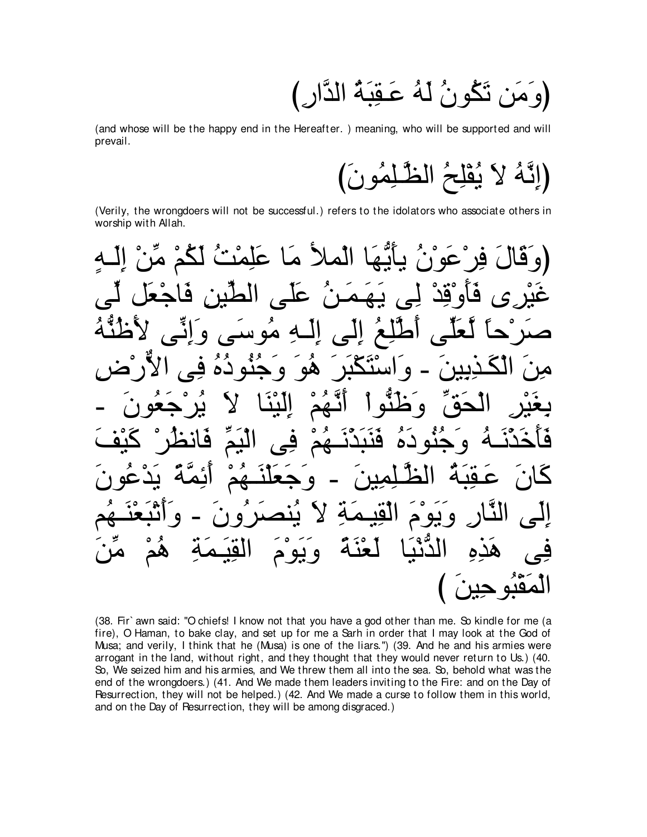(وَمَن تَكُونُ لَهُ عَقِبَهُ الدَّارِ )

(and whose will be the happy end in the Hereafter. ) meaning, who will be supported and will prevail.

(Verily, the wrongdoers will not be successful.) refers to the idolators who associate others in worship with Allah.

(38. Fir' awn said: "O chiefs! I know not that you have a god other than me. So kindle for me (a fire), O Haman, to bake clay, and set up for me a Sarh in order that I may look at the God of Musa; and verily, I think that he (Musa) is one of the liars.") (39. And he and his armies were arrogant in the land, without right, and they thought that they would never return to Us.) (40. So, We seized him and his armies, and We threw them all into the sea. So, behold what was the end of the wrongdoers.) (41. And We made them leaders inviting to the Fire: and on the Day of Resurrection, they will not be helped.) (42. And We made a curse to follow them in this world, and on the Day of Resurrection, they will be among disgraced.)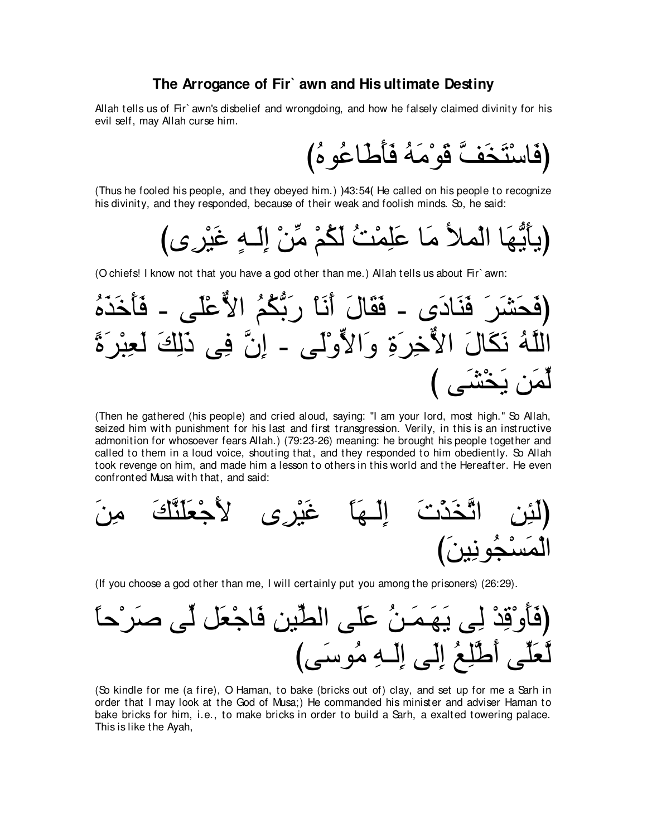#### The Arrogance of Fir<sup>o</sup> awn and His ultimate Destiny

Allah tells us of Fir` awn's disbelief and wrongdoing, and how he falsely claimed divinity for his evil self, may Allah curse him.

(فَاسْتَخَفَّ قَوْمَهُ فَأَطَاعُوهُ)

(Thus he fooled his people, and they obeyed him.) )43:54(He called on his people to recognize his divinity, and they responded, because of their weak and foolish minds. So, he said:

(O chiefs! I know not that you have a god other than me.) Allah tells us about Fir' awn:

(فَحَشَرَ فَنَادَى - فَقَالَ أَنَا رَبُّكُمُ الأُعَلَى – فَأَحَدَهُ
$$
|لَّلَهُ نَكَالَ الُّاحُرِرَةِ وَالأّوُلَى – إِنَّ في دَلِكَ لَعِبُرَةَ
$$

(Then he gathered (his people) and cried aloud, saying: "I am your lord, most high." So Allah, seized him with punishment for his last and first transgression. Verily, in this is an instructive admonition for whosoever fears Allah.) (79:23-26) meaning: he brought his people together and called to them in a loud voice, shouting that, and they responded to him obediently. So Allah took revenge on him, and made him a lesson to others in this world and the Hereafter. He even confronted Musa with that, and said:



(If you choose a god other than me, I will certainly put you among the prisoners) (26:29).



(So kindle for me (a fire), O Haman, to bake (bricks out of) clay, and set up for me a Sarh in order that I may look at the God of Musa;) He commanded his minister and adviser Haman to bake bricks for him, i.e., to make bricks in order to build a Sarh, a exalted towering palace. This is like the Ayah,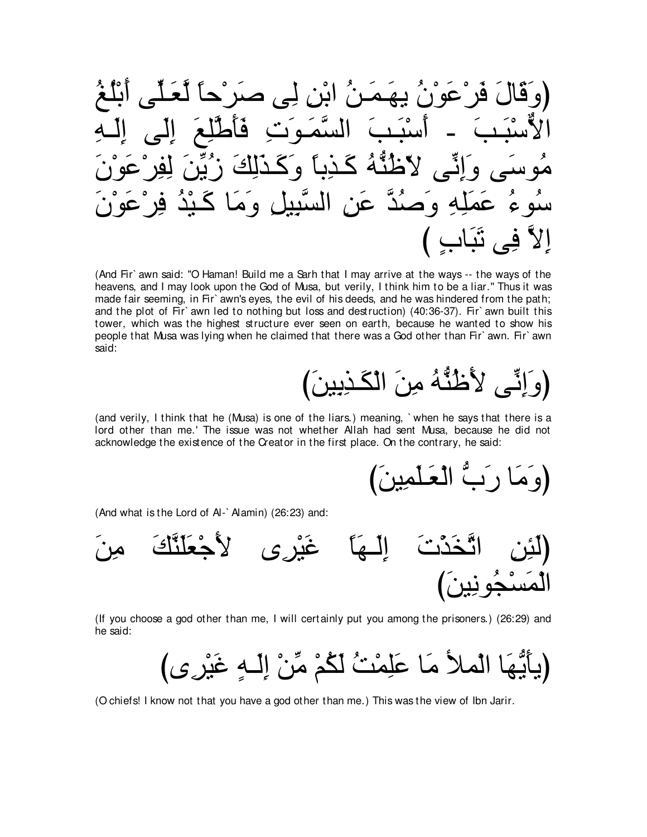(وَقَالَ فَرُعَوَنُ يهَمَنُ ابُن لِى صَرُحًا لَعَلِّى أَبُلَعُ
$$
(وَقَالَّا يَنَيَ وَيَّهَ وَنَ يهَمَنُ ابُن لِى صَرُحًا لَعَلَى أَبُلَعُ وَلَّةُوَنَ وَوَنَ وَمَنَّهَ وَجَدَلِكَ زَبُّنَ لِفِرُعَوُنَ وَمَنَهَ وَحَدَلِكَ وَرَنَّوَوُنَ وَمَنَوَ مَنَوَنَ وَرَنَ وَرَنَ وَرَنَ وَرَنَ وَرَنَ وَرَنَ وَرَنَ وَرَنَ وَرَنَ وَرَنَ وَرَنَ وَرَنَ وَرَنَ وَرَنَ وَرَنَ وَرَنَ وَرَنَ وَرَنَ وَرَنَ وَرَنَ وَرَنَ وَرَنَ وَرَنَ وَرَنَ
$$

(And Fir' awn said: "O Haman! Build me a Sarh that I may arrive at the ways -- the ways of the heavens, and I may look upon the God of Musa, but verily, I think him to be a liar." Thus it was made fair seeming, in Fir` awn's eyes, the evil of his deeds, and he was hindered from the path; and the plot of Fir` awn led to nothing but loss and destruction) (40:36-37). Fir` awn built this tower, which was the highest structure ever seen on earth, because he wanted to show his people that Musa was lying when he claimed that there was a God other than Fir' awn. Fir' awn said:

(and verily, I think that he (Musa) is one of the liars.) meaning, 'when he says that there is a lord other than me.' The issue was not whether Allah had sent Musa, because he did not acknowledge the existence of the Creator in the first place. On the contrary, he said:

ا رَ بَّ الْعَلّْمِينَ)

(And what is the Lord of Al-`Alamin) (26:23) and:



(If you choose a god other than me, I will certainly put you among the prisoners.) (26:29) and he said:

(O chiefs! I know not that you have a god other than me.) This was the view of Ibn Jarir.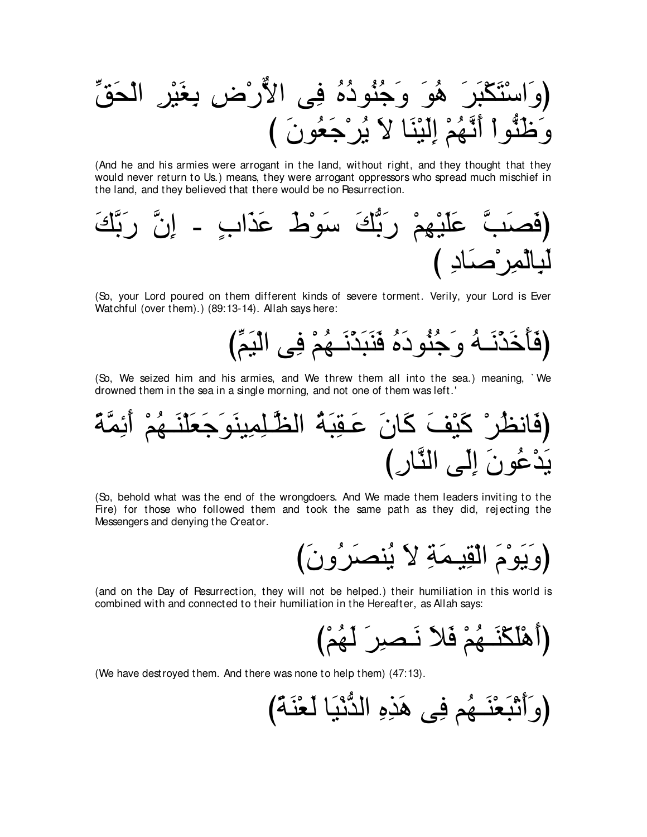(وَاسُتَكَبَرَ هُوَ وَجُنُوذُهُ في الأُرُض يغَيُر الُحَقِّ
$$
\overline{\phantom{a}}
$$
وَنَطُوُا أَنَّهُمُ إَلَيُئَا لا يُرُجَعُونَ )

(And he and his armies were arrogant in the land, without right, and they thought that they would never return to Us.) means, they were arrogant oppressors who spread much mischief in the land, and they believed that there would be no Resurrection.

∠マzよ∠ケ zラ⌒ま - ∃ゆや∠グ∠ハ ∠ヅ∇ヲ∠シ ∠マぁよ∠ケ ∇ユ⌒ヰ∇Β∠ヤ∠ハ zょ∠ダ∠プぴ び ⌒キゅ∠タ∇ゲ⌒ヨ∇ャゅ⌒ら∠ャ

(So, your Lord poured on them different kinds of severe torment. Verily, your Lord is Ever Watchful (over them).) (89:13-14). Allah says here:

びあユ∠Β∇ャや ヴ⌒プ ∇ユ⊥ヰ⇒∠ル∇グ∠ら∠レ∠プ ⊥ロ∠キヲ⊥レ⊥ィ∠ヱ ⊥ヮ⇒∠ル∇グ∠カ∠ほ∠プぴ

(So, We seized him and his armies, and We threw them all into the sea.) meaning, ` We drowned them in the sea in a single morning, and not one of them was left.'

⇔るzヨ⌒も∠ぺ ∇ユ⊥ヰ⇒∠レ∇ヤ∠バ∠ィ∠ヲ∠レΒ⌒ヨ⌒ヤ⇒zヌャや ⊥る∠ら⌒ボ⇒∠ハ ∠ラゅ∠ミ ∠ブ∇Β∠ミ ∇ゲ⊥ヌルゅ∠プぴ び⌒ケゅzレャや ヴ∠ャ⌒ま ∠ラヲ⊥ハ∇ギ∠Α

(So, behold what was the end of the wrongdoers. And We made them leaders inviting to the Fire) for those who followed them and took the same path as they did, rejecting the Messengers and denying the Creator.

び∠ラヱ⊥ゲ∠ダレ⊥Α ∠Ι ⌒る∠ヨ⇒Β⌒ボ∇ャや ∠ュ∇ヲ∠Α∠ヱぴ

(and on the Day of Resurrection, they will not be helped.) their humiliation in this world is combined with and connected to their humiliation in the Hereafter, as Allah says:

び∇ユ⊥ヰ∠ャ ∠ゲ⌒ダ⇒∠ル ∠Κ∠プ ∇ユ⊥ヰ⇒∠レ∇ム∠ヤ∇ワ∠ぺぴ

(We have destroyed them. And there was none to help them) (47:13).

び⇔る∠レ∇バ∠ャ ゅ∠Β∇ルぁギャや ⌒ロ⌒グ∠ワ ヴ⌒プ ユ⊥ヰ⇒∠レ∇バ∠ら∇ゎ∠ぺ∠ヱぴ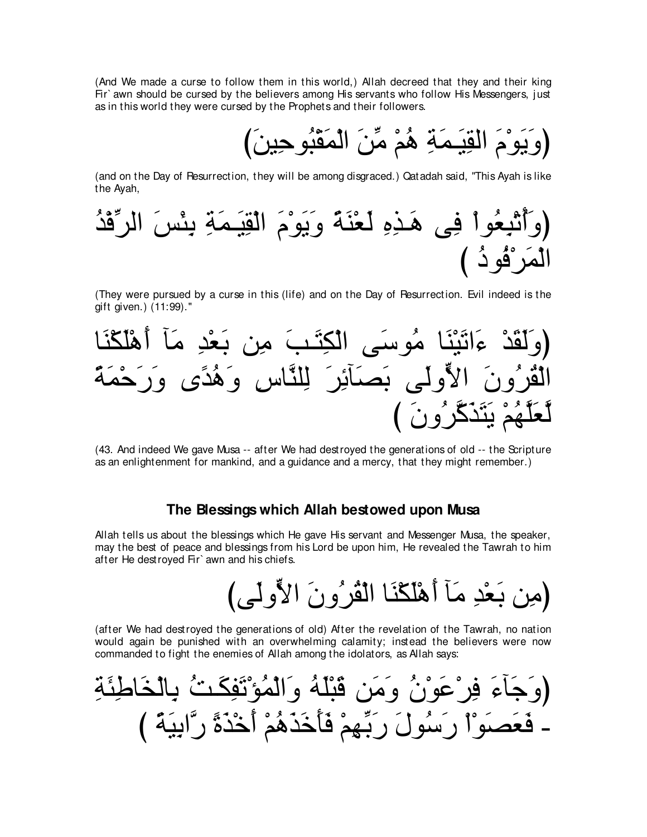(And We made a curse to follow them in this world,) Allah decreed that they and their king Fir` awn should be cursed by the believers among His servants who follow His Messengers, just as in this world they were cursed by the Prophets and their followers.

び∠リΒ⌒ェヲ⊥ら∇ボ∠ヨ∇ャや ∠リあョ ∇ユ⊥ワ ⌒る∠ヨ⇒∠Β⌒ボャや ∠ュ∇ヲ∠Α∠ヱぴ

(and on the Day of Resurrection, they will be among disgraced.) Qatadah said, "This Ayah is like the Ayah,

(وَأُتُيِعُوا في هَذِوِ لَعَنَّةَ وَيَوَمَ الَقِيَمَةِ يئُسَ الرِّقُدُ
$$
\widehat{\mathbf{B}}_{\mathbf{q}}
$$

(They were pursued by a curse in this (life) and on the Day of Resurrection. Evil indeed is the gift given.) (11:99).''



(43. And indeed We gave Musa -- after We had destroyed the generations of old -- the Scripture as an enlightenment for mankind, and a guidance and a mercy, that they might remember.)

#### **The Blessings which Allah bestowed upon Musa**

Allah tells us about the blessings which He gave His servant and Messenger Musa, the speaker, may the best of peace and blessings from his Lord be upon him, He revealed the Tawrah to him after He destroyed Fir` awn and his chiefs.

びヴ∠ャヱyΙや ∠ラヱ⊥ゲ⊥ボ∇ャや ゅ∠レ∇ム∠ヤ∇ワ∠ぺ べ∠ョ ⌒ギ∇バ∠よ リ⌒ョぴ

(after We had destroyed the generations of old) After the revelation of the Tawrah, no nation would again be punished with an overwhelming calamity; instead the believers were now commanded to fight the enemies of Allah among the idolators, as Allah says:

⌒る∠ゃ⌒デゅ∠ガ∇ャゅ⌒よ ⊥ろ⇒∠ム⌒ヘ∠ゎ∇ぽ⊥ヨ∇ャや∠ヱ ⊥ヮ∠ヤ∇ら∠ホ リ∠ョ∠ヱ ⊥ラ∇ヲ∠ハ∇ゲ⌒プ ∠¬べ∠ィ∠ヱぴ び ⇔る∠Β⌒よやzケ ⇔り∠グ∇カ∠ぺ ∇ユ⊥ワ∠グ∠カ∠ほ∠プ ∇ユ⌒ヰあよ∠ケ ∠メヲ⊥シ∠ケ ∇や∇ヲ∠ダ∠バ∠プ -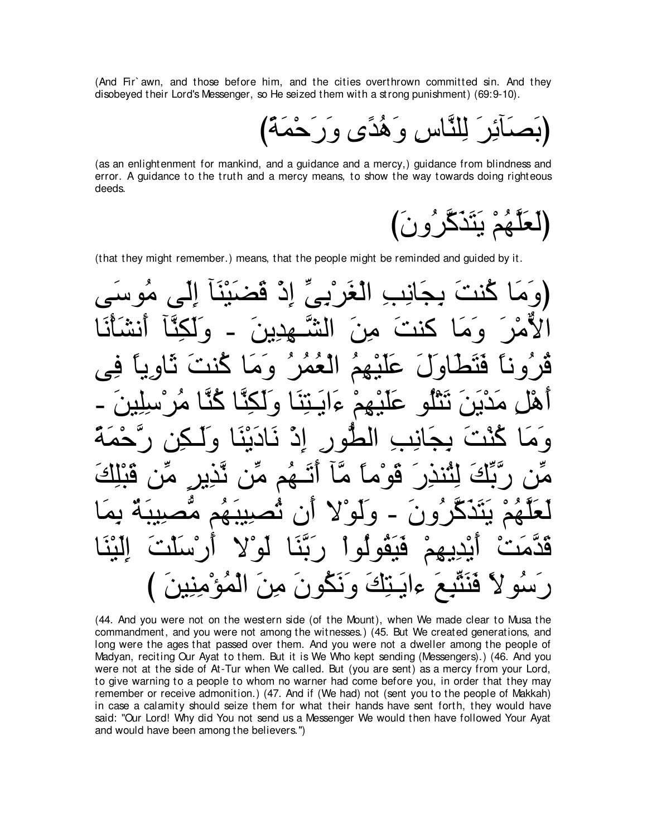(And Fir' awn, and those before him, and the cities overthrown committed sin. And they disobeved their Lord's Messenger, so He seized them with a strong punishment) (69:9-10).

(as an enlightenment for mankind, and a guidance and a mercy,) guidance from blindness and error. A guidance to the truth and a mercy means, to show the way towards doing righteous deeds

(that they might remember.) means, that the people might be reminded and guided by it.

(44. And you were not on the western side (of the Mount), when We made clear to Musa the commandment, and you were not among the witnesses.) (45. But We created generations, and long were the ages that passed over them. And you were not a dweller among the people of Madyan, reciting Our Ayat to them. But it is We Who kept sending (Messengers).) (46. And you were not at the side of At-Tur when We called. But (you are sent) as a mercy from your Lord, to give warning to a people to whom no warner had come before you, in order that they may remember or receive admonition.) (47. And if (We had) not (sent you to the people of Makkah) in case a calamity should seize them for what their hands have sent forth, they would have said: "Our Lord! Why did You not send us a Messenger We would then have followed Your Ayat and would have been among the believers.")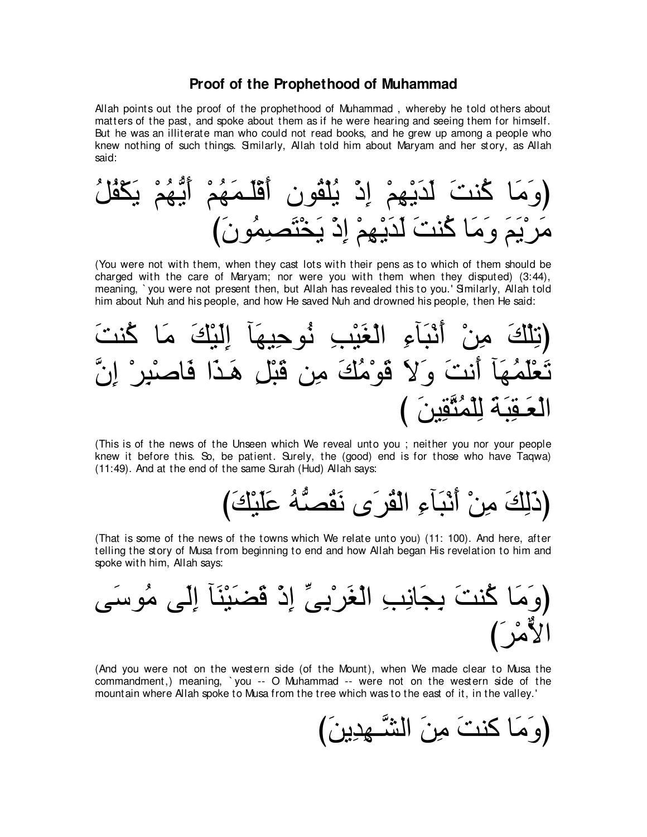#### **Proof of the Prophethood of Muhammad**

Allah points out the proof of the prophethood of Muhammad , whereby he told others about matters of the past, and spoke about them as if he were hearing and seeing them for himself. But he was an illiterate man who could not read books, and he grew up among a people who knew nothing of such things. Similarly, Allah told him about Maryam and her story, as Allah said:

⊥モ⊥ヘ∇ム∠Α ∇ユ⊥ヰぁΑ∠ぺ ∇ユ⊥ヰ∠ヨ⇒∠ヤ∇ホ∠ぺ ラヲ⊥ボ∇ヤ⊥Α ∇ク⌒ま ∇ユ⌒ヰ∇Α∠ギ∠ャ ∠ろレ⊥ミ ゅ∠ョ∠ヱぴ び∠ラヲ⊥ヨ⌒ダ∠わ∇ガ∠Α ∇ク⌒ま ∇ユ⌒ヰ∇Α∠ギ∠ャ ∠ろレ⊥ミ ゅ∠ョ∠ヱ ∠ユ∠Α∇ゲ∠ョ

(You were not with them, when they cast lots with their pens as to which of them should be charged with the care of Maryam; nor were you with them when they disputed) (3:44), meaning, `you were not present then, but Allah has revealed this to you.' Similarly, Allah told him about Nuh and his people, and how He saved Nuh and drowned his people, then He said:



(This is of the news of the Unseen which We reveal unto you ; neither you nor your people knew it before this. So, be patient. Surely, the (good) end is for those who have Taqwa) (11:49). And at the end of the same Surah (Hud) Allah says:

び∠マ∇Β∠ヤ∠ハ ⊥ヮぁダ⊥ボ∠ル ン∠ゲ⊥ボ∇ャや ⌒¬べ∠ら∇ル∠ぺ ∇リ⌒ョ ∠マ⌒ャ∠クぴ

(That is some of the news of the towns which We relate unto you) (11: 100). And here, after telling the story of Musa from beginning to end and how Allah began His revelation to him and spoke with him, Allah says:

ヴ∠シヲ⊥ョ ヴ∠ャ⌒ま べ∠レ∇Β∠ツ∠ホ ∇ク⌒ま あヴ⌒よ∇ゲ∠ピ∇ャや ⌒ょ⌒ルゅ∠イ⌒よ ∠ろレ⊥ミ ゅ∠ョ∠ヱぴ び∠ゲ∇ョxΙや

(And you were not on the western side (of the Mount), when We made clear to Musa the commandment,) meaning, ` you -- O Muhammad -- were not on the western side of the mountain where Allah spoke to Musa from the tree which was to the east of it, in the valley.'

び∠リΑ⌒ギ⌒ヰ⇒zゼャや ∠リ⌒ョ ∠ろレミ ゅ∠ョ∠ヱぴ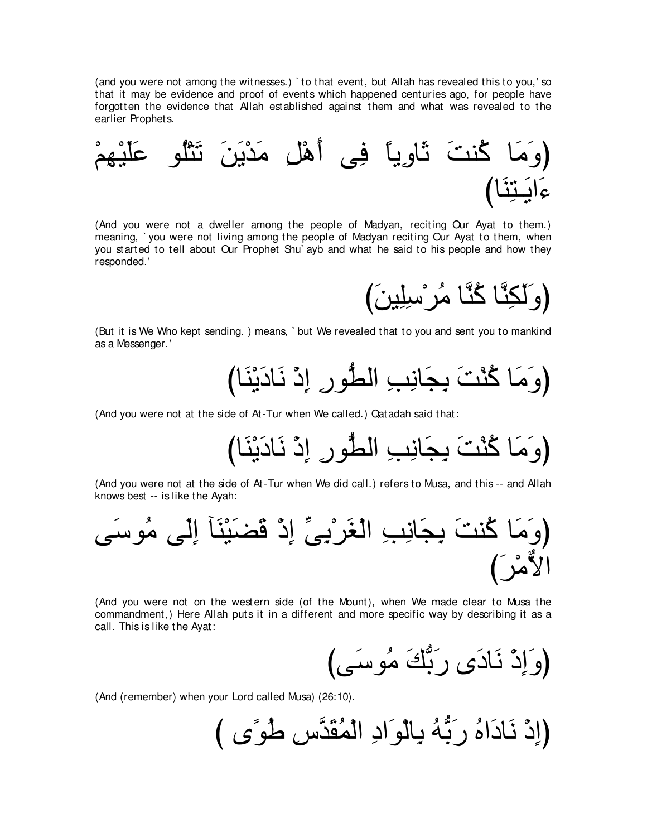(and you were not among the witnesses.) ` to that event, but Allah has revealed this to you,' so that it may be evidence and proof of events which happened centuries ago, for people have forgotten the evidence that Allah established against them and what was revealed to the earlier Prophets.

∇ユ⌒ヰ∇Β∠ヤ∠ハ ヲ⊥ヤ∇わ∠ゎ ∠リ∠Α∇ギ∠ョ ⌒モ∇ワ∠ぺ ヴ⌒プ ⇔ゅΑ⌒ヱゅ∠を ∠ろレ⊥ミ ゅ∠ョ∠ヱぴ びゅ∠レ⌒わ⇒∠Αや∠¬

(And you were not a dweller among the people of Madyan, reciting Our Ayat to them.) meaning, ` you were not living among the people of Madyan reciting Our Ayat to them, when you started to tell about Our Prophet Shu` ayb and what he said to his people and how they responded.'

び∠リΒ⌒ヤ⌒シ∇ゲ⊥ョ ゅzレ⊥ミ ゅzレ⌒ム∠ャ∠ヱぴ

(But it is We Who kept sending. ) means, ` but We revealed that to you and sent you to mankind as a Messenger.'

びゅ∠レ∇Α∠キゅ∠ル ∇ク⌒ま ⌒ケヲぁトャや ⌒ょ⌒ルゅ∠イ⌒よ ∠ろ∇レ⊥ミ ゅ∠ョ∠ヱぴ

(And you were not at the side of At-Tur when We called.) Qatadah said that:

びゅ∠レ∇Α∠キゅ∠ル ∇ク⌒ま ⌒ケヲぁトャや ⌒ょ⌒ルゅ∠イ⌒よ ∠ろ∇レ⊥ミ ゅ∠ョ∠ヱぴ

(And you were not at the side of At-Tur when We did call.) refers to Musa, and this -- and Allah knows best -- is like the Ayah:

ヴ∠シヲ⊥ョ ヴ∠ャ⌒ま べ∠レ∇Β∠ツ∠ホ ∇ク⌒ま あヴ⌒よ∇ゲ∠ピ∇ャや ⌒ょ⌒ルゅ∠イ⌒よ ∠ろレ⊥ミ ゅ∠ョ∠ヱぴ び∠ゲ∇ョxΙや

(And you were not on the western side (of the Mount), when We made clear to Musa the commandment,) Here Allah puts it in a different and more specific way by describing it as a call. This is like the Ayat:

びヴ∠シヲ⊥ョ ∠マぁよ∠ケ ン∠キゅ∠ル ∇ク⌒ま∠ヱぴ

(And (remember) when your Lord called Musa) (26:10).

び ン⇔ヲ⊥デ ⌒サzギ∠ボ⊥ヨ∇ャや ⌒キや∠ヲ∇ャゅ⌒よ ⊥ヮぁよ∠ケ ⊥ロや∠キゅ∠ル ∇ク⌒まぴ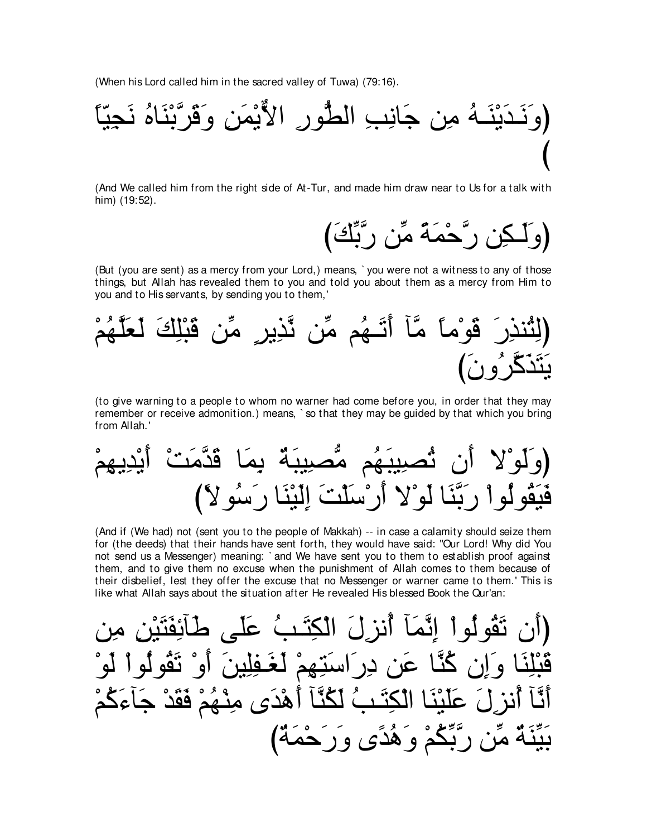(When his Lord called him in the sacred valley of Tuwa) (79:16).



(And We called him from the right side of At-Tur, and made him draw near to Us for a talk with him) (19:52).

رَّحْمَةً مِّن رَّبَّكَ)

(But (you are sent) as a mercy from your Lord,) means, `you were not a witness to any of those things, but Allah has revealed them to you and told you about them as a mercy from Him to you and to His servants, by sending you to them,'



(to give warning to a people to whom no warner had come before you, in order that they may remember or receive admonition.) means, `so that they may be guided by that which you bring from Allah.'

(And if (We had) not (sent you to the people of Makkah) -- in case a calamity should seize them for (the deeds) that their hands have sent forth, they would have said: "Our Lord! Why did You not send us a Messenger) meaning: `and We have sent you to them to establish proof against them, and to give them no excuse when the punishment of Allah comes to them because of their disbelief, lest they offer the excuse that no Messenger or warner came to them.' This is like what Allah says about the situation after He revealed His blessed Book the Qur'an:

نَقُولُو أَ انَّمَا أَنز لَ الْكِتَبُ عَلَى او " تَقُو لُو اُ نِّنَا وَإِن كُنَّا عَنِ دِرَاسَتِهِمْ لَغَفِلِينَ أَنَّأَ أُنزِ لَ عَلَيْنَا الْكِتَـبُ لَكُنَّأَ أَهْدَى مِنْهُمْ فَقَدْ جَأَءَكُمْ بَيِّنَةٌ مِّن رَّبِّكُمْ وَهُدًى وَرَحْمَةٌ)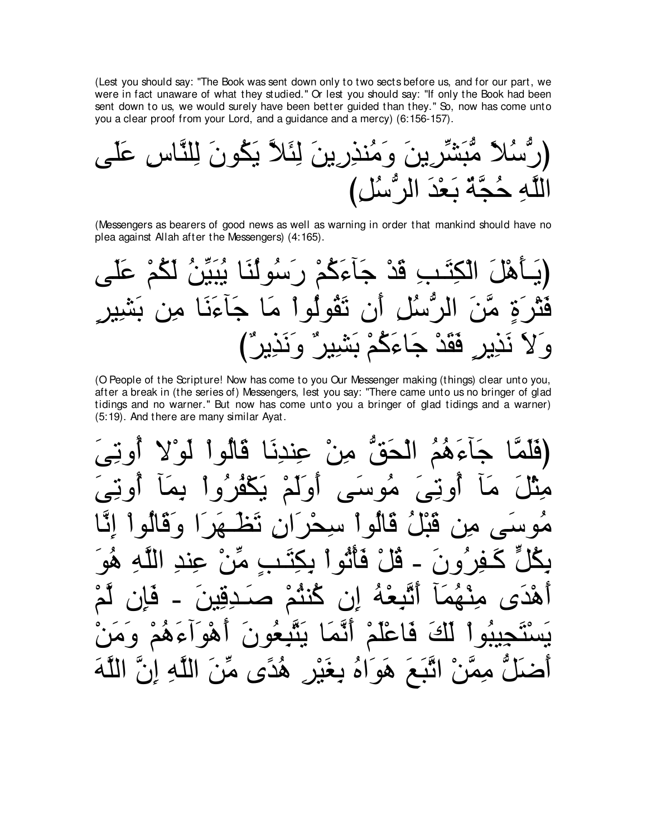(Lest you should say: "The Book was sent down only to two sects before us, and for our part, we were in fact unaware of what they studied." Or lest you should say: "If only the Book had been sent down to us, we would surely have been better guided than they." So, now has come unto you a clear proof from your Lord, and a guidance and a mercy) (6:156-157).

(Messengers as bearers of good news as well as warning in order that mankind should have no plea against Allah after the Messengers) (4:165).

(O People of the Scripture! Now has come to you Our Messenger making (things) clear unto you, after a break in (the series of) Messengers, lest you say: "There came unto us no bringer of glad tidings and no warner." But now has come unto you a bringer of glad tidings and a warner) (5:19). And there are many similar Ayat.

أَءَهُمُ الْحَقَّ مِنْ عِنْدِنَا قالُو اُ او لَمْ مُوَ سے ِ او تے ، يكفر و ا Ä له ا سد فآثو ا بكتين ١è ان گنگم فكة لَّكَ فَاعْلَمْ أَنَّمَا يَتَّبِعُونَ عھم وه ا ھو اَضَلَّ مِمَّنْ اتَّبَعَ هَوَاهُ بِغَيْرِ هُدًى مِّنَ اللَّهِ إِنَّ اللَّهَ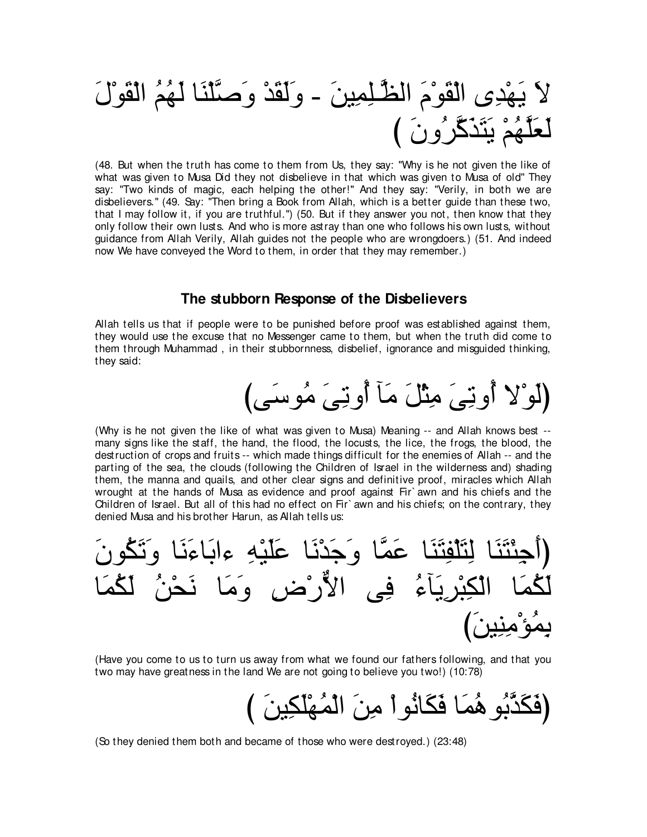∠メ∇ヲ∠ボ∇ャや ⊥ユ⊥ヰ∠ャ ゅ∠レ∇ヤzタ∠ヱ ∇ギ∠ボ∠ャ∠ヱ - ∠リΒ⌒ヨ⌒ヤ⇒zヌャや ∠ュ∇ヲ∠ボ∇ャや ン⌒ギ∇ヰ∠Α ∠Ι び ∠ラヱ⊥ゲzミ∠グ∠わ∠Α ∇ユ⊥ヰzヤ∠バ∠ャ

(48. But when the truth has come to them from Us, they say: "Why is he not given the like of what was given to Musa Did they not disbelieve in that which was given to Musa of old'' They say: "Two kinds of magic, each helping the other!" And they say: "Verily, in both we are disbelievers.'' (49. Say: "Then bring a Book from Allah, which is a better guide than these two, that I may follow it, if you are truthful.'') (50. But if they answer you not, then know that they only follow their own lusts. And who is more astray than one who follows his own lusts, without guidance from Allah Verily, Allah guides not the people who are wrongdoers.) (51. And indeed now We have conveyed the Word to them, in order that they may remember.)

#### **The stubborn Response of the Disbelievers**

Allah tells us that if people were to be punished before proof was established against them, they would use the excuse that no Messenger came to them, but when the truth did come to them through Muhammad , in their stubbornness, disbelief, ignorance and misguided thinking, they said:

## (لَو ْلا أُونِيَ مِثْلَ مَأَ أُونِيَ مُوسَى)

(Why is he not given the like of what was given to Musa) Meaning -- and Allah knows best - many signs like the staff, the hand, the flood, the locusts, the lice, the frogs, the blood, the destruction of crops and fruits -- which made things difficult for the enemies of Allah -- and the parting of the sea, the clouds (following the Children of Israel in the wilderness and) shading them, the manna and quails, and other clear signs and definitive proof, miracles which Allah wrought at the hands of Musa as evidence and proof against Fir` awn and his chiefs and the Children of Israel. But all of this had no effect on Fir` awn and his chiefs; on the contrary, they denied Musa and his brother Harun, as Allah tells us:



(Have you come to us to turn us away from what we found our fathers following, and that you two may have greatness in the land We are not going to believe you two!) (10:78)

(فَكَدَّبُو هُمَـا فَكَانُو أَ مِنَ الْمُهْلَكِينَ )

(So they denied them both and became of those who were destroyed.) (23:48)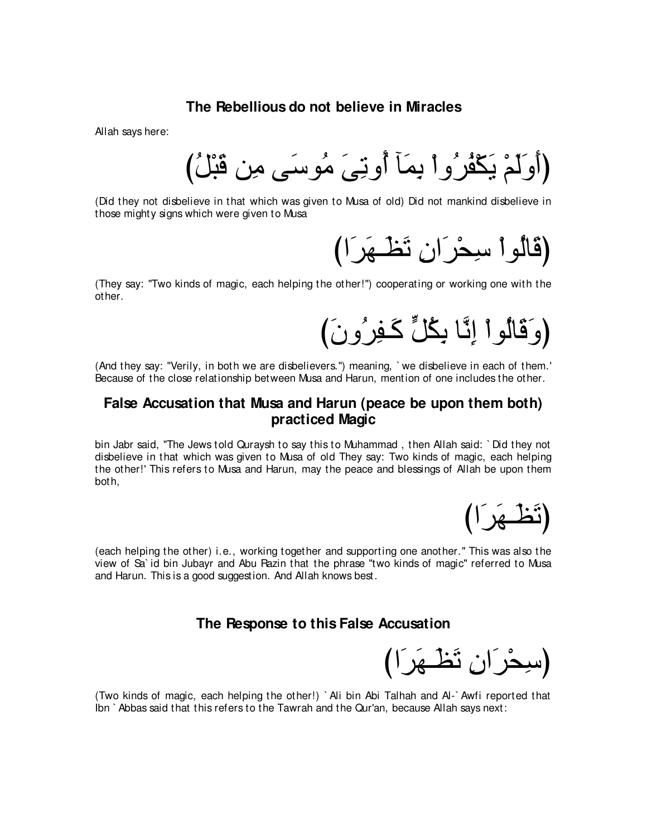#### **The Rebellious do not believe in Miracles**

Allah says here:

(أُوَلَمْ يَكْفُرُواْ بِمَاۤ أُوتِيَ مُوسَى مِن قَبْلُ)

(Did they not disbelieve in that which was given to Musa of old) Did not mankind disbelieve in those mighty signs which were given to Musa

(قالوا سيحْرَان تَ<del>ط</del>ْـهَرَا)

(They say: "Two kinds of magic, each helping the other!'') cooperating or working one with the other.

(وَ قَالُو ا اِنَّا بِكُلِّ كَـفِرٍ *و نَ )* 

(And they say: "Verily, in both we are disbelievers.'') meaning, ` we disbelieve in each of them.' Because of the close relationship between Musa and Harun, mention of one includes the other.

## **False Accusation that Musa and Harun (peace be upon them both) practiced Magic**

bin Jabr said, "The Jews told Quraysh to say this to Muhammad , then Allah said: ` Did they not disbelieve in that which was given to Musa of old They say: Two kinds of magic, each helping the other!' This refers to Musa and Harun, may the peace and blessings of Allah be upon them both,

(تُظےر)

(each helping the other) i.e., working together and supporting one another.'' This was also the view of Sa` id bin Jubayr and Abu Razin that the phrase "two kinds of magic'' referred to Musa and Harun. This is a good suggestion. And Allah knows best.

#### **The Response to this False Accusation**

(سِحْرَانِ تَ<del>ظ</del>َهَرَ ا)

(Two kinds of magic, each helping the other!) ` Ali bin Abi Talhah and Al-` Awfi reported that Ibn ` Abbas said that this refers to the Tawrah and the Qur'an, because Allah says next: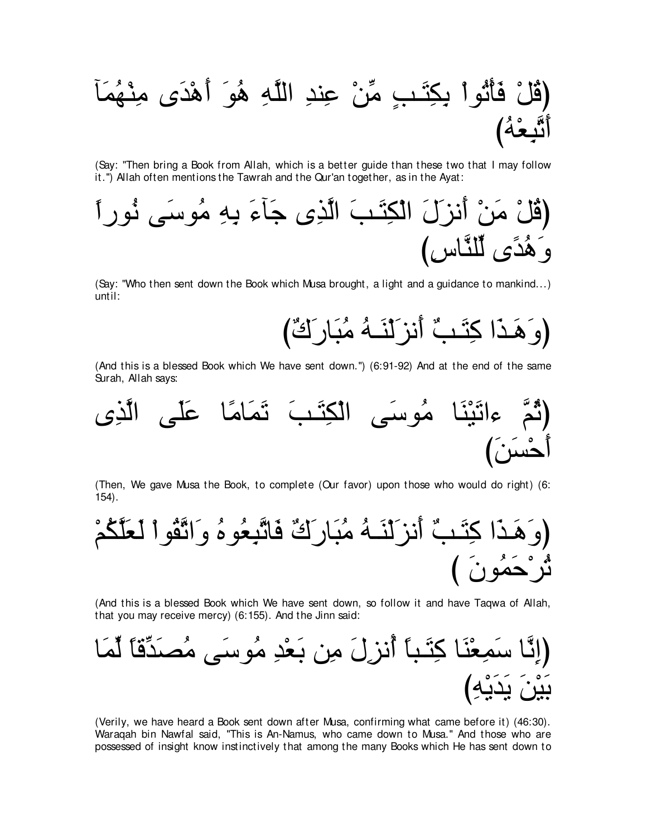(Say: "Then bring a Book from Allah, which is a better guide than these two that I may follow it.") Allah often mentions the Tawrah and the Qur'an together, as in the Ayat:



(Say: "Who then sent down the Book which Musa brought, a light and a guidance to mankind...) until:

(وَ هَـٰذَا كِتَـٰبٌ أَنزِ لَنَـٰهُ مُبَارٍ كَتٌا)

(And this is a blessed Book which We have sent down.") (6:91-92) And at the end of the same Surah, Allah says:



(Then, We gave Musa the Book, to complete (Our favor) upon those who would do right) (6:  $154$ .



(And this is a blessed Book which We have sent down, so follow it and have Taqwa of Allah, that you may receive mercy) (6:155). And the Jinn said:



(Verily, we have heard a Book sent down after Musa, confirming what came before it) (46:30). Waragah bin Nawfal said, "This is An-Namus, who came down to Musa." And those who are possessed of insight know instinctively that among the many Books which He has sent down to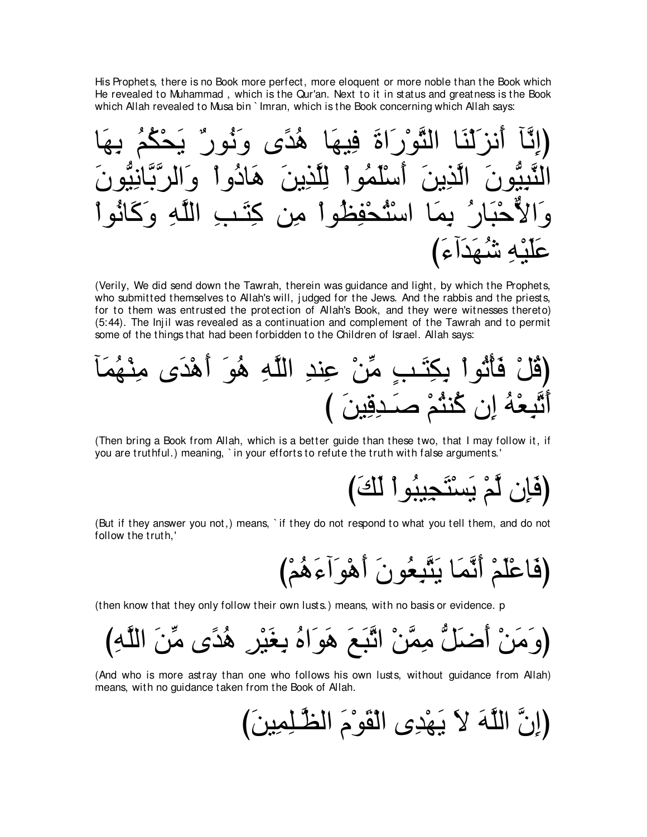His Prophets, there is no Book more perfect, more eloquent or more noble than the Book which He revealed to Muhammad, which is the Qur'an. Next to it in status and greatness is the Book which Allah revealed to Musa bin ` Imran, which is the Book concerning which Allah savs:

(Verily, We did send down the Tawrah, therein was guidance and light, by which the Prophets, who submitted themselves to Allah's will, judged for the Jews. And the rabbis and the priests, for to them was entrusted the protection of Allah's Book, and they were witnesses thereto) (5:44). The lnjil was revealed as a continuation and complement of the Tawrah and to permit some of the things that had been forbidden to the Children of Israel. Allah says:



(Then bring a Book from Allah, which is a better guide than these two, that I may follow it, if you are truthful.) meaning, `in your efforts to refute the truth with false arguments.'

(But if they answer you not,) means, `if they do not respond to what you tell them, and do not follow the truth,'

(then know that they only follow their own lusts.) means, with no basis or evidence. p

(And who is more astray than one who follows his own lusts, without guidance from Allah) means, with no guidance taken from the Book of Allah.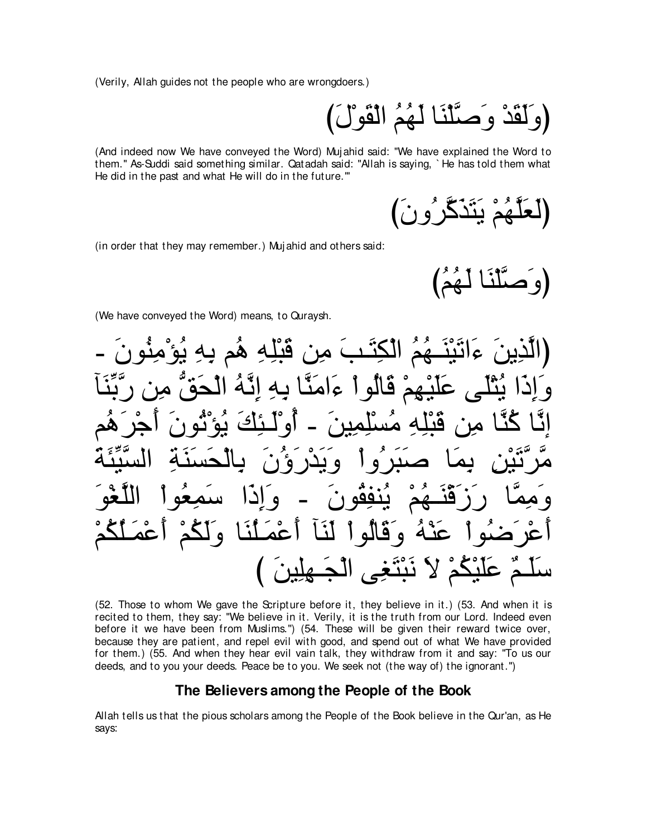(Verily, Allah guides not the people who are wrongdoers.)

(وَلَقَدْ وَصَّلْنَا لَهُمُ الْقَوْلَ)

(And indeed now We have conveyed the Word) Mujahid said: "We have explained the Word to them." As-Suddi said something similar. Qatadah said: "Allah is saying, `He has told them what He did in the past and what He will do in the future."

لَعَلَّهُمْ يَتَذَكَّرُونَ)

(in order that they may remember.) Mujahid and others said:

مَّلْنَا لَهُمَ)

(We have conveyed the Word) means, to Quraysh.



(52. Those to whom We gave the Scripture before it, they believe in it.) (53. And when it is recited to them, they say: "We believe in it. Verily, it is the truth from our Lord. Indeed even before it we have been from Muslims.") (54. These will be given their reward twice over, because they are patient, and repel evil with good, and spend out of what We have provided for them.) (55. And when they hear evil vain talk, they withdraw from it and say: "To us our deeds, and to you your deeds. Peace be to you. We seek not (the way of) the ignorant.")

#### The Believers among the People of the Book

Allah tells us that the pious scholars among the People of the Book believe in the Qur'an, as He savs: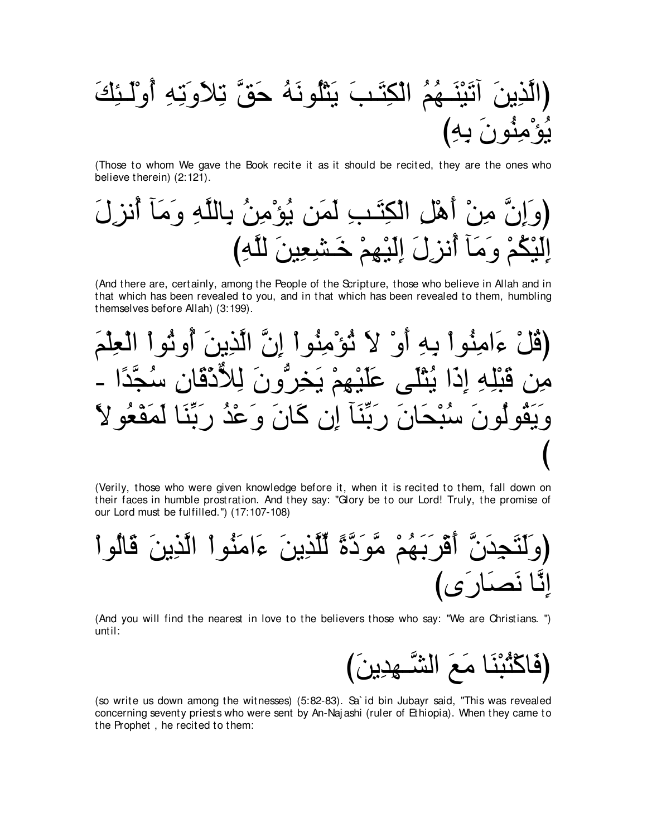∠マ⌒ゃ⇒∠ャ∇ヱ⊥ぺ ⌒ヮ⌒ゎ∠ヱ∠Κ⌒ゎ zペ∠ェ ⊥ヮ∠ルヲ⊥ヤ∇わ∠Α ∠ょ⇒∠わ⌒ム∇ャや ⊥ユ⊥ヰ⇒∠レ∇Β∠ゎへ ∠リΑ⌒グzャやぴ び⌒ヮ⌒よ ∠ラヲ⊥レ⌒ョ∇ぽ⊥Α

(Those to whom We gave the Book recite it as it should be recited, they are the ones who believe therein) (2:121).

∠メ⌒ゴル⊥ぺ べ∠ョ∠ヱ ⌒ヮzヤャゅ⌒よ ⊥リ⌒ョ∇ぽ⊥Α リ∠ヨ∠ャ ⌒ょ⇒∠わ⌒ム∇ャや ⌒モ∇ワ∠ぺ ∇リ⌒ョ zラ⌒ま∠ヱぴ び⌒ヮzヤャ ∠リΒ⌒バ⌒ゼ⇒∠カ ∇ユ⌒ヰ∇Β∠ャ⌒ま ∠メ⌒ゴル⊥ぺ べ∠ョ∠ヱ ∇ユ⊥ム∇Β∠ャ⌒ま

(And there are, certainly, among the People of the Scripture, those who believe in Allah and in that which has been revealed to you, and in that which has been revealed to them, humbling themselves before Allah) (3:199).

∠ユ∇ヤ⌒バ∇ャや ∇やヲ⊥ゎヱ⊥ぺ ∠リΑ⌒グzャや zラ⌒ま ∇やヲ⊥レ⌒ョ∇ぽ⊥ゎ ∠Ι ∇ヱ∠ぺ ⌒ヮ⌒よ ∇やヲ⊥レ⌒ョや∠¬ ∇モ⊥ホぴ - や⇔ギzイ⊥シ ⌒ラゅ∠ホ∇クxΚ⌒ャ ∠ラヱぁゲ⌒ガ∠Α ∇ユ⌒ヰ∇Β∠ヤ∠ハ ヴ∠ヤ∇わ⊥Α や∠ク⌒ま ⌒ヮ⌒ヤ∇ら∠ホ リ⌒ョ ⇔Ιヲ⊥バ∇ヘ∠ヨ∠ャ ゅ∠レあよ∠ケ ⊥ギ∇ハ∠ヱ ∠ラゅ∠ミ ラ⌒ま べ∠レあよ∠ケ ∠ラゅ∠エ∇ら⊥シ ∠ラヲ⊥ャヲ⊥ボ∠Α∠ヱ び

(Verily, those who were given knowledge before it, when it is recited to them, fall down on their faces in humble prostration. And they say: "Glory be to our Lord! Truly, the promise of our Lord must be fulfilled.'') (17:107-108)

∇やヲ⊥ャゅ∠ホ ∠リΑ⌒グzャや ∇やヲ⊥レ∠ョや∠¬ ∠リΑ⌒グzヤあャ ⇔りzキ∠ヲzョ ∇ユ⊥ヰ∠よ∠ゲ∇ホ∠ぺ zラ∠ギ⌒イ∠わ∠ャ∠ヱぴ びン∠ケゅ∠ダ∠ル ゅzル⌒ま

(And you will find the nearest in love to the believers those who say: "We are Christians. '') until:

び∠リΑ⌒ギ⌒ヰ⇒zゼャや ∠ノ∠ョ ゅ∠レ∇ら⊥わ∇ミゅ∠プぴ

(so write us down among the witnesses) (5:82-83). Sa` id bin Jubayr said, "This was revealed concerning seventy priests who were sent by An-Naj ashi (ruler of Ethiopia). When they came to the Prophet , he recited to them: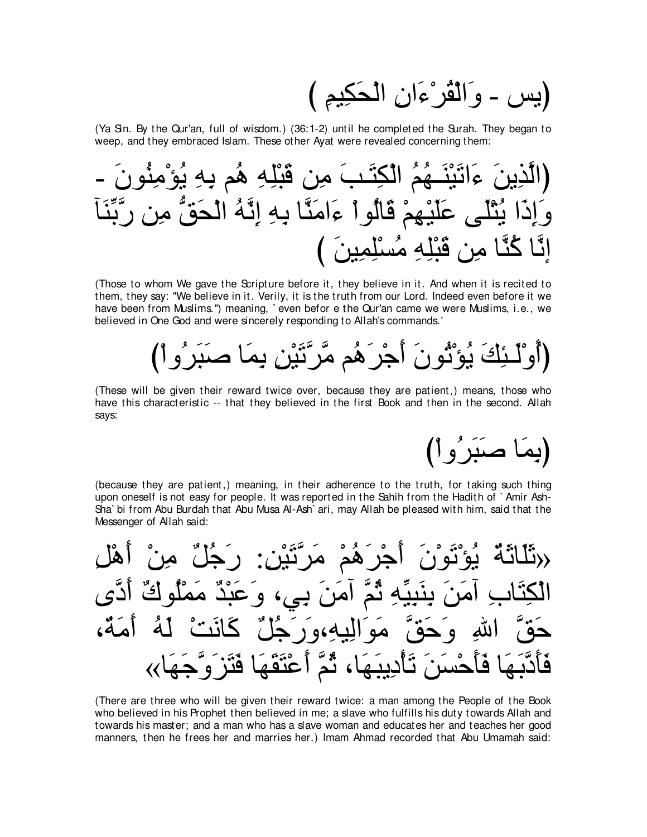(يس - وَالْقُرْءَانِ الْحَكِيمِ )

(Ya Sin. By the Qur'an, full of wisdom.) (36:1-2) until he completed the Surah. They began to weep, and they embraced Islam. These other Ayat were revealed concerning them:



(Those to whom We gave the Scripture before it, they believe in it. And when it is recited to them, they say: "We believe in it. Verily, it is the truth from our Lord. Indeed even before it we have been from Muslims.") meaning, `even befor e the Qur'an came we were Muslims, i.e., we believed in One God and were sincerely responding to Allah's commands.

# (أَوْلَـئِكَ يُوْثُونَ أَجْرَهُم مَّرَّتَيْنِ بِمَا صَنَرِرُواْ)

(These will be given their reward twice over, because they are patient,) means, those who have this characteristic -- that they believed in the first Book and then in the second. Allah savs:

(يما صَبَرُو اُ

(because they are patient,) meaning, in their adherence to the truth, for taking such thing upon oneself is not easy for people. It was reported in the Sahih from the Hadith of `Amir Ash-Sha' bi from Abu Burdah that Abu Musa Al-Ash' ari, may Allah be pleased with him, said that the Messenger of Allah said:

جر ھم مراٽين  $\bullet$ لنه،و ر حْسَنَ تَأْدِيبَهَا، ثُمَّ أَعْتَقَهَا فَتَز<sup>َ</sup>وَّ  $\tilde{\mathbf{e}}$ 

(There are three who will be given their reward twice: a man among the People of the Book who believed in his Prophet then believed in me; a slave who fulfills his duty towards Allah and towards his master; and a man who has a slave woman and educates her and teaches her good manners, then he frees her and marries her.) Imam Ahmad recorded that Abu Umamah said: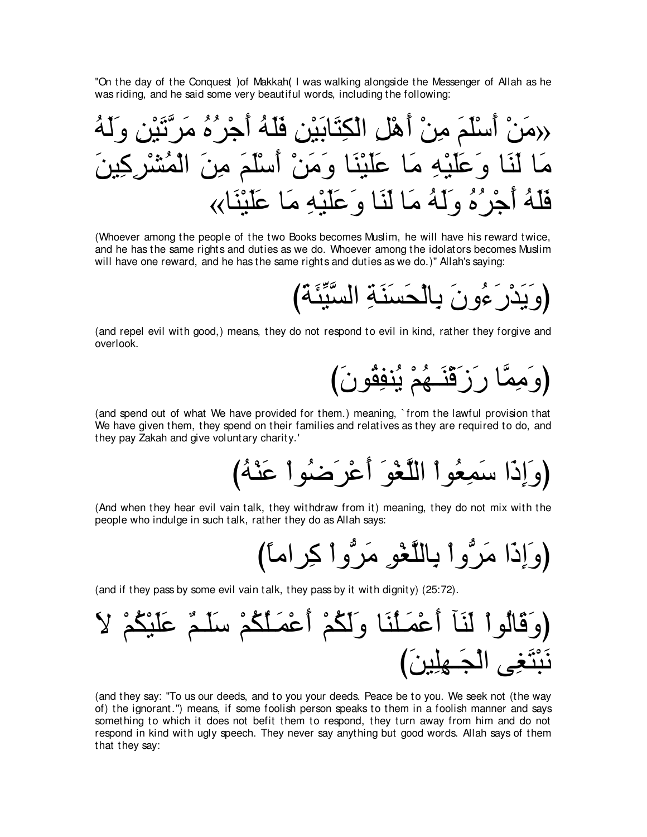"On the day of the Conquest ) of Makkah (I was walking alongside the Messenger of Allah as he was riding, and he said some very beautiful words, including the following:

⊥ヮ∠ャ∠ヱ ⌒リ∇Β∠ゎzゲ∠ョ ⊥ロ⊥ゲ∇ィ∠ぺ ⊥ヮ∠ヤ∠プ ⌒リ∇Β∠よゅ∠わ⌒ム∇ャや ⌒モ∇ワ∠ぺ ∇リ⌒ョ ∠ユ∠ヤ∇シ∠ぺ ∇リ∠ョ» ∠リΒ⌒ミ⌒ゲ∇ゼ⊥ヨ∇ャや ∠リ⌒ョ ∠ユ∠ヤ∇シ∠ぺ ∇リ∠ョ∠ヱ ゅ∠レ∇Β∠ヤ∠ハ ゅ∠ョ ⌒ヮ∇Β∠ヤ∠ハ∠ヱ ゅ∠レ∠ャ ゅ∠ョ «ゅ∠レ∇Β∠ヤ∠ハ ゅ∠ョ ⌒ヮ∇Β∠ヤ∠ハ∠ヱ ゅ∠レ∠ャ ゅ∠ョ ⊥ヮ∠ャ∠ヱ ⊥ロ⊥ゲ∇ィ∠ぺ ⊥ヮ∠ヤ∠プ

(Whoever among the people of the two Books becomes Muslim, he will have his reward twice, and he has the same rights and duties as we do. Whoever among the idolators becomes Muslim will have one reward, and he has the same rights and duties as we do.)" Allah's saying:

び∠る∠ゃあΒzジャや ⌒る∠レ∠ジ∠エ∇ャゅ⌒よ ∠ラヱ⊥¬∠ケ∇ギ∠Α∠ヱぴ

(and repel evil with good,) means, they do not respond to evil in kind, rather they forgive and overlook.

び∠ラヲ⊥ボ⌒ヘレ⊥Α ∇ユ⊥ヰ⇒∠レ∇ホ∠コ∠ケ ゅzヨ⌒ョ∠ヱぴ

(and spend out of what We have provided for them.) meaning, ` from the lawful provision that We have given them, they spend on their families and relatives as they are required to do, and they pay Zakah and give voluntary charity.'

び⊥ヮ∇レ∠ハ ∇やヲ⊥ッ∠ゲ∇ハ∠ぺ ∠ヲ∇ピzヤャや ∇やヲ⊥バ⌒ヨ∠シ や∠ク⌒ま∠ヱぴ

(And when they hear evil vain talk, they withdraw from it) meaning, they do not mix with the people who indulge in such talk, rather they do as Allah says:

び⇔ゅョやゲ⌒ミ ∇やヱぁゲ∠ョ ⌒ヲ∇ピzヤャゅ⌒よ ∇やヱぁゲ∠ョ や∠ク⌒ま∠ヱぴ

(and if they pass by some evil vain talk, they pass by it with dignity) (25:72).

∠Ι ∇ユ⊥ム∇Β∠ヤ∠ハ ∀ユ⇒∠ヤ∠シ ∇ユ⊥ム⊥ヤ⇒∠ヨ∇ハ∠ぺ ∇ユ⊥ム∠ャ∠ヱ ゅ∠レ⊥ヤ⇒∠ヨ∇ハ∠ぺ べ∠レ∠ャ ∇やヲ⊥ャゅ∠ホ∠ヱぴ び∠リΒ⌒ヤ⌒ヰ⇒∠イ∇ャや ヴ⌒ピ∠わ∇ら∠ル

(and they say: "To us our deeds, and to you your deeds. Peace be to you. We seek not (the way of) the ignorant.'') means, if some foolish person speaks to them in a foolish manner and says something to which it does not befit them to respond, they turn away from him and do not respond in kind with ugly speech. They never say anything but good words. Allah says of them that they say: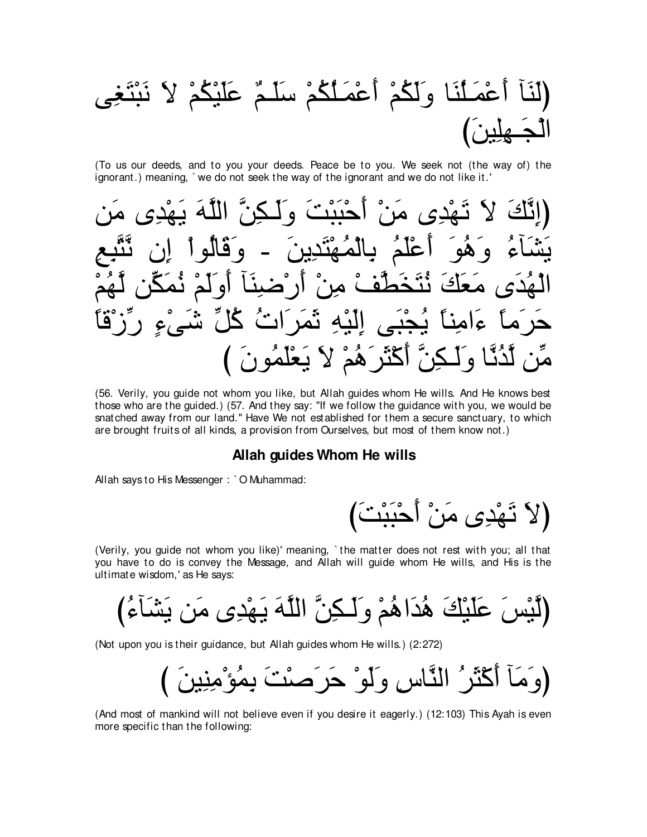(To us our deeds, and to you your deeds. Peace be to you. We seek not (the way of) the ignorant.) meaning, `we do not seek the way of the ignorant and we do not like it.'

(56. Verily, you guide not whom you like, but Allah guides whom He wills. And He knows best those who are the guided.) (57. And they say: "If we follow the guidance with you, we would be snatched away from our land." Have We not established for them a secure sanctuary, to which are brought fruits of all kinds, a provision from Ourselves, but most of them know not.)

#### Allah guides Whom He wills

Allah says to His Messenger: `O Muhammad:

(لاَ تَهْدِى مَنْ أَحْبَبْتَ)

(Verily, you guide not whom you like)' meaning, 'the matter does not rest with you; all that you have to do is convey the Message, and Allah will guide whom He wills, and His is the ultimate wisdom,' as He says:

(Not upon you is their guidance, but Allah guides whom He wills.) (2:272)

(وَمَأَ أَكْثَرُ النَّاسِ وَلَوْ حَرَصْتَ بِمُؤْمِنِينَ )

(And most of mankind will not believe even if you desire it eagerly.) (12:103) This Ayah is even more specific than the following: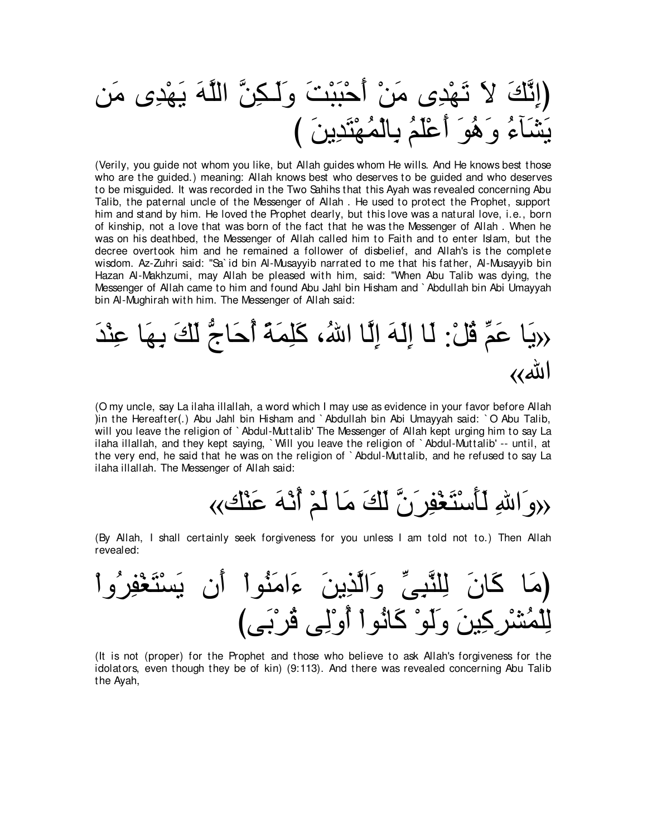リ∠ョ ン⌒ギ∇ヰ∠Α ∠ヮzヤャや zリ⌒ム⇒∠ャ∠ヱ ∠ろ∇ら∠ら∇ェ∠ぺ ∇リ∠ョ ン⌒ギ∇ヰ∠ゎ ∠Ι ∠マzル⌒まぴ び ∠リΑ⌒ギ∠わ∇ヰ⊥ヨ∇ャゅ⌒よ ⊥ユ∠ヤ∇ハ∠ぺ ∠ヲ⊥ワ∠ヱ ⊥¬べ∠ゼ∠Α

(Verily, you guide not whom you like, but Allah guides whom He wills. And He knows best those who are the guided.) meaning: Allah knows best who deserves to be guided and who deserves to be misguided. It was recorded in the Two Sahihs that this Ayah was revealed concerning Abu Talib, the paternal uncle of the Messenger of Allah . He used to protect the Prophet, support him and stand by him. He loved the Prophet dearly, but this love was a natural love, i.e., born of kinship, not a love that was born of the fact that he was the Messenger of Allah . When he was on his deathbed, the Messenger of Allah called him to Faith and to enter Islam, but the decree overtook him and he remained a follower of disbelief, and Allah's is the complete wisdom. Az-Zuhri said: "Sa` id bin Al-Musayyib narrated to me that his father, Al-Musayyib bin Hazan Al-Makhzumi, may Allah be pleased with him, said: "When Abu Talib was dying, the Messenger of Allah came to him and found Abu Jahl bin Hisham and ` Abdullah bin Abi Umayyah bin Al-Mughirah with him. The Messenger of Allah said:

∠ギ∇レ⌒ハ ゅ∠ヰ⌒よ ∠マ∠ャ ぁァゅ∠ェ⊥ぺ ⇔る∠ヨ⌒ヤ∠ミ ∩⊥ぶや ゅzャ⌒ま ∠ヮ∠ャ⌒ま ゅ∠ャ :∇モ⊥ホ あユ∠ハ ゅ∠Α» «ぶや

(O my uncle, say La ilaha illallah, a word which I may use as evidence in your favor before Allah )in the Hereafter(.) Abu Jahl bin Hisham and ` Abdullah bin Abi Umayyah said: ` O Abu Talib, will you leave the religion of ` Abdul-Muttalib' The Messenger of Allah kept urging him to say La ilaha illallah, and they kept saying, ` Will you leave the religion of ` Abdul-Muttalib' -- until, at the very end, he said that he was on the religion of ` Abdul-Muttalib, and he refused to say La ilaha illallah. The Messenger of Allah said:

«マ∇レ∠ハ ∠ヮ∇ル⊥ぺ ∇ユ∠ャ ゅ∠ョ ∠マ∠ャ zラ∠ゲ⌒ヘ∇ピ∠わ∇シ∠ほ∠ャ ⌒ぶや∠ヱ»

(By Allah, I shall certainly seek forgiveness for you unless I am told not to.) Then Allah revealed:

∇やヱ⊥ゲ⌒ヘ∇ピ∠わ∇ジ∠Α ラ∠ぺ ∇やヲ⊥レ∠ョや∠¬ ∠リΑ⌒グzャや∠ヱ あヴ⌒らzレヤ⌒ャ ∠ラゅ∠ミ ゅ∠ョぴ びヴ∠よ∇ゲ⊥ホ ヴ⌒ャ∇ヱ⊥ぺ ∇やヲ⊥ルゅ∠ミ ∇ヲ∠ャ∠ヱ ∠リΒ⌒ミ⌒ゲ∇ゼ⊥ヨ∇ヤ⌒ャ

(It is not (proper) for the Prophet and those who believe to ask Allah's forgiveness for the idolators, even though they be of kin) (9:113). And there was revealed concerning Abu Talib the Ayah,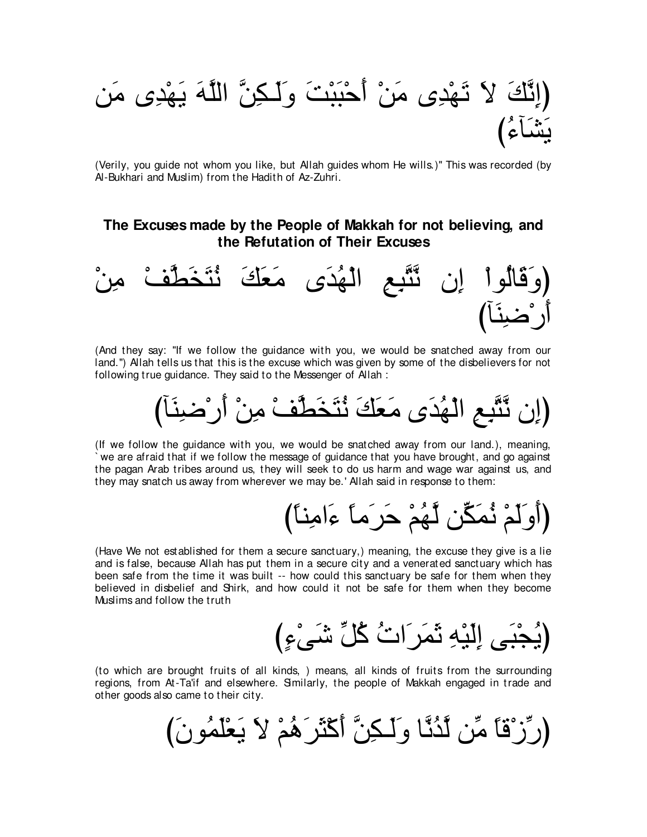(إِنَّكَ لاَ تَهْدِى مَنْ أَحْبَبْتَ وَلَكِنَّ اللَّهَ يَهْدِى مَن

(Verily, you guide not whom you like, but Allah guides whom He wills.)" This was recorded (by Al-Bukhari and Muslim) from the Hadith of Az-Zuhri.

## The Excuses made by the People of Makkah for not believing, and the Refutation of Their Excuses



(And they say: "If we follow the guidance with you, we would be snatched away from our land.") Allah tells us that this is the excuse which was given by some of the disbelievers for not following true guidance. They said to the Messenger of Allah:

(If we follow the guidance with you, we would be snatched away from our land.), meaning, we are afraid that if we follow the message of guidance that you have brought, and go against the pagan Arab tribes around us, they will seek to do us harm and wage war against us, and they may snatch us away from wherever we may be.' Allah said in response to them:

(Have We not established for them a secure sanctuary,) meaning, the excuse they give is a lie and is false, because Allah has put them in a secure city and a venerated sanctuary which has been safe from the time it was built -- how could this sanctuary be safe for them when they believed in disbelief and Shirk, and how could it not be safe for them when they become Muslims and follow the truth

(يُجْبَى اِلَّذِهِ نَمَرَ اتْ كُلِّ شَيْءٍ)

(to which are brought fruits of all kinds, ) means, all kinds of fruits from the surrounding regions, from At-Ta'if and elsewhere. Smilarly, the people of Makkah engaged in trade and other goods also came to their city.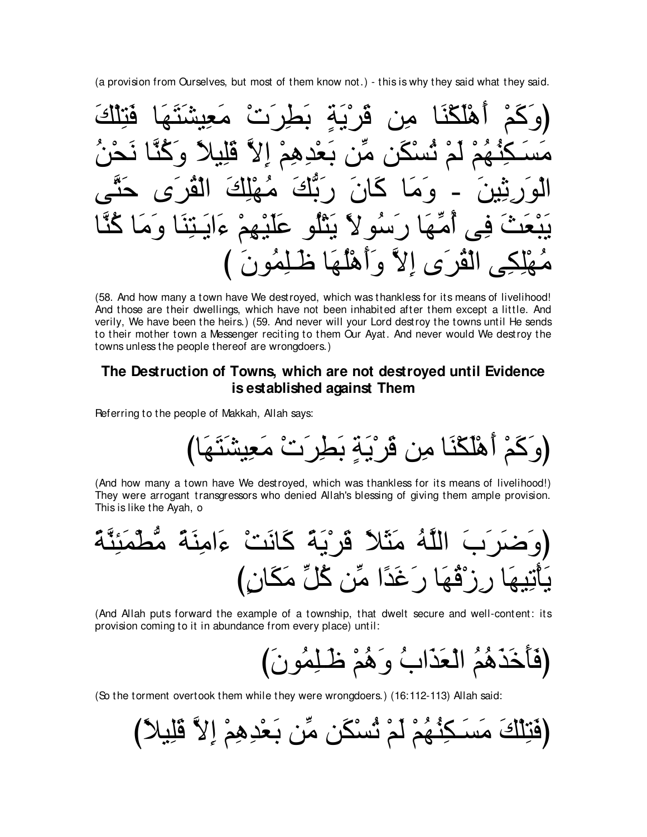(a provision from Ourselves, but most of them know not.) - this is why they said what they said.

أَهْلَكْنَا مِن قَرْيَةٍ بَطِ كِنْـهُمْ لَمْ تُسْكَنِ مِّن بَعْدِهِمْ إِ <u>ةًا،</u> كَانَ رَبَّكَ مُ ا ک ہ م م ءايـٽِنا وَمَ أَهَـٰهَا رَ سُو لاَ بَثْلُو عَلَٰهِ كِي الْقْرَى إِلاَّ وَأَهْلُهَا ظَلِمُونَ

(58. And how many a town have We destroyed, which was thankless for its means of livelihood! And those are their dwellings, which have not been inhabited after them except a little. And verily, We have been the heirs.) (59. And never will your Lord destroy the towns until He sends to their mother town a Messenger reciting to them Our Ayat. And never would We destroy the towns unless the people thereof are wrongdoers.)

## The Destruction of Towns, which are not destroyed until Evidence is established against Them

Referring to the people of Makkah, Allah says:

(And how many a town have We destroyed, which was thankless for its means of livelihood!) They were arrogant transgressors who denied Allah's blessing of giving them ample provision. This is like the Ayah, o

(And Allah puts forward the example of a township, that dwelt secure and well-content: its provision coming to it in abundance from every place) until:

(فَاخَذَهُمُ الْعَذَابُ وَهُمْ ظَلِمُونَ)

(So the torment overtook them while they were wrongdoers.) (16:112-113) Allah said:

(فَتِلْكَ مَسَـكِنُّهُمْ لَمْ تُسْكَنِ مِّن بَعْدِهِمْ إِلاَّ قَلِيلاً ْ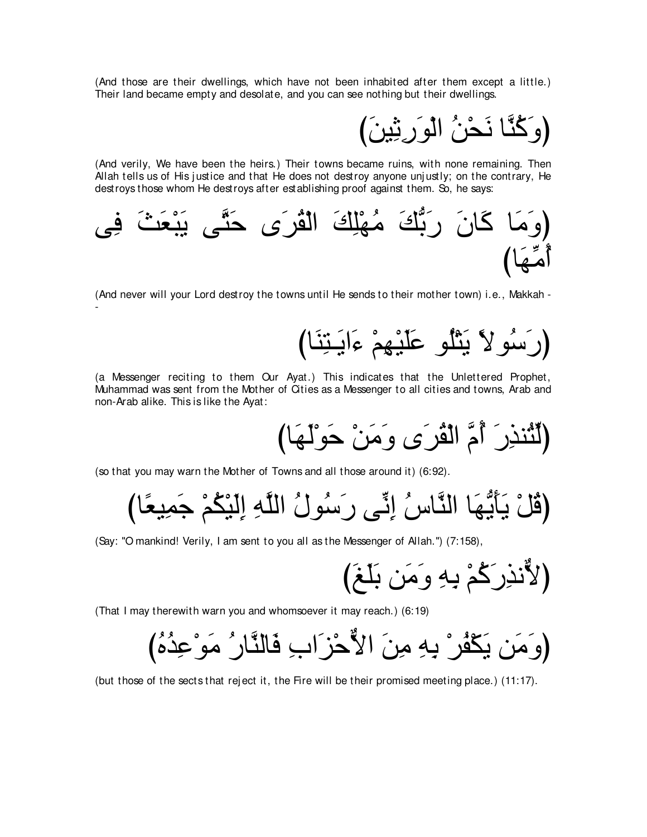(And those are their dwellings, which have not been inhabited after them except a little.) Their land became empty and desolate, and you can see nothing but their dwellings.

(وَكِّنَّا نَحْنُ الْوَرِيْيْنَ)

(And verily, We have been the heirs.) Their towns became ruins, with none remaining. Then Allah tells us of His justice and that He does not destroy anyone unjustly; on the contrary, He destroys those whom He destroys after establishing proof against them. So, he says:



(And never will your Lord destroy the towns until He sends to their mother town) i.e., Makkah - -

びゅ∠レ⌒わ⇒∠Αや∠¬ ∇ユ⌒ヰ∇Β∠ヤ∠ハ ヲ⊥ヤ∇わ∠Α ⇔Ιヲ⊥シ∠ケぴ

(a Messenger reciting to them Our Ayat.) This indicates that the Unlettered Prophet, Muhammad was sent from the Mother of Cities as a Messenger to all cities and towns, Arab and non-Arab alike. This is like the Ayat:

(لِّثْنذِرَ ۚ أُمَّ الْقُرَى وَمَنْ حَوْلَهَا)

(so that you may warn the Mother of Towns and all those around it) (6:92).

びゅ⇔バΒ⌒ヨ∠ィ ∇ユ⊥ム∇Β∠ャ⌒ま ⌒ヮzヤャや ⊥メヲ⊥シ∠ケ ヴあル⌒ま ⊥サゅzレャや ゅ∠ヰぁΑ∠ほ∠Α ∇モ⊥ホぴ

(Say: "O mankind! Verily, I am sent to you all as the Messenger of Allah.'') (7:158),

び∠ヒ∠ヤ∠よ リ∠ョ∠ヱ ⌒ヮ⌒よ ∇ユ⊥ミ∠ケ⌒グルxΙぴ

(That I may therewith warn you and whomsoever it may reach.) (6:19)

(وَ مَن يَكْفُر ْ بِهِ مِنَ الأَّحْزَ ابِ فَالنَّارُ ۖ مَوْعِدُهُ)

(but those of the sects that rej ect it, the Fire will be their promised meeting place.) (11:17).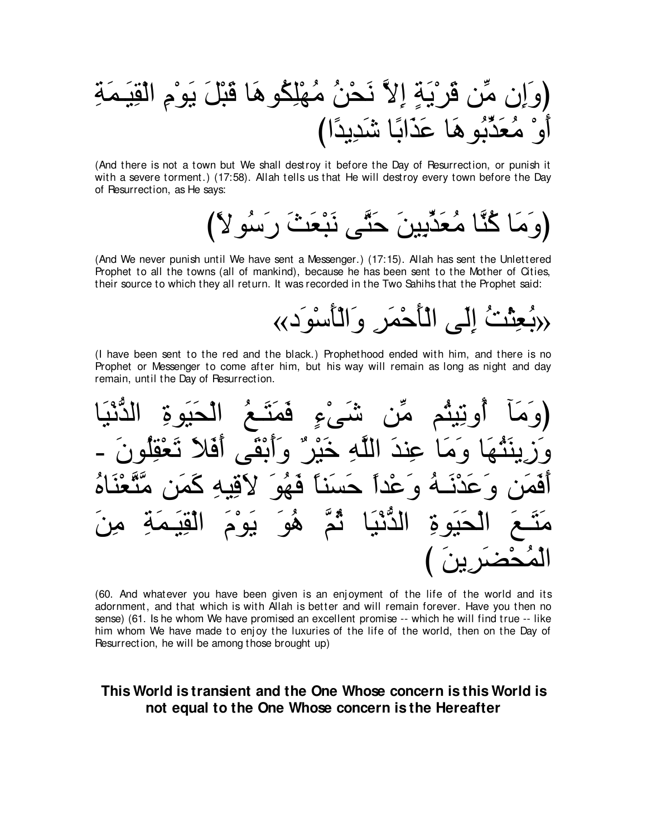(And there is not a town but We shall destroy it before the Day of Resurrection, or punish it with a severe torment.) (17:58). Allah tells us that He will destroy every town before the Day of Resurrection, as He says:

(وَمَا كُنَّا مُعَدِّبِينَ حَتَّى نَبْعَثَ رَسُو لاَ)

(And We never punish until We have sent a Messenger.) (17:15). Allah has sent the Unlettered Prophet to all the towns (all of mankind), because he has been sent to the Mother of Cities, their source to which they all return. It was recorded in the Two Sahihs that the Prophet said:

رْبُعِثْتُ إِلَى الْأَحْمَرِ وَالْأَسْوَدِ››

(I have been sent to the red and the black.) Prophethood ended with him, and there is no Prophet or Messenger to come after him, but his way will remain as long as night and day remain, until the Day of Resurrection.

(60. And whatever you have been given is an enjoyment of the life of the world and its adornment, and that which is with Allah is better and will remain forever. Have you then no sense) (61. Is he whom We have promised an excellent promise -- which he will find true -- like him whom We have made to enjoy the luxuries of the life of the world, then on the Day of Resurrection, he will be among those brought up)

## This World is transient and the One Whose concern is this World is not equal to the One Whose concern is the Hereafter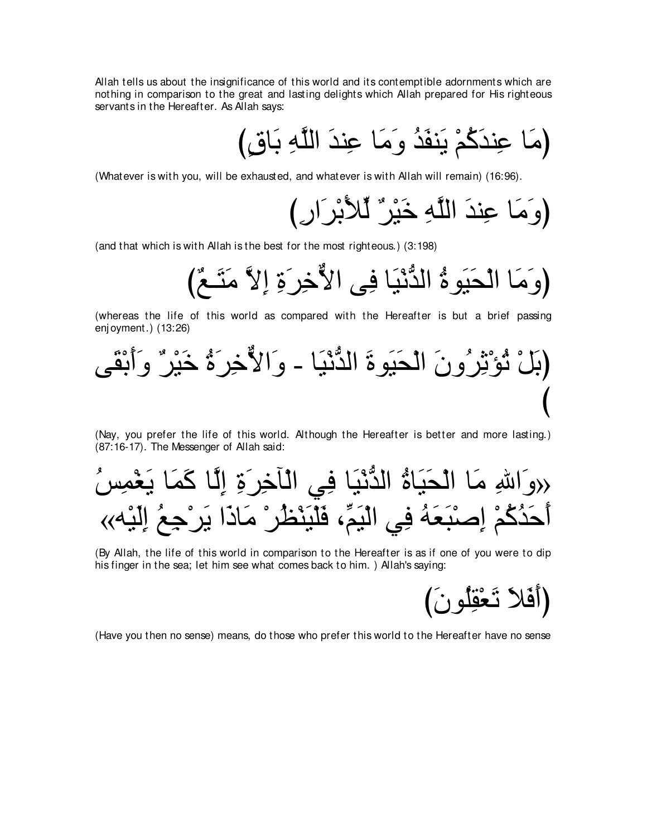Allah tells us about the insignificance of this world and its contemptible adornments which are nothing in comparison to the great and lasting delights which Allah prepared for His righteous servants in the Hereafter. As Allah says:

び∃ベゅ∠よ ⌒ヮzヤャや ∠ギレ⌒ハ ゅ∠ョ∠ヱ ⊥ギ∠ヘレ∠Α ∇ユ⊥ミ∠ギレ⌒ハ ゅ∠ョぴ

(Whatever is with you, will be exhausted, and whatever is with Allah will remain) (16:96).

び⌒ケや∠ゲ∇よ∠Ζあャ ∀ゲ∇Β∠カ ⌒ヮzヤャや ∠ギレ⌒ハ ゅ∠ョ∠ヱぴ

(and that which is with Allah is the best for the most righteous.) (3:198)

び∀ノ⇒∠わ∠ョ zΙ⌒ま ⌒り∠ゲ⌒カxΙや ヴ⌒プ ゅ∠Β∇ルぁギャや ⊥りヲ∠Β∠エ∇ャや ゅ∠ョ∠ヱぴ

(whereas the life of this world as compared with the Hereafter is but a brief passing enj oyment.) (13:26)

ヴ∠ボ∇よ∠ぺ∠ヱ ∀ゲ∇Β∠カ ⊥り∠ゲ⌒カxΙや∠ヱ - ゅ∠Β∇ルぁギャや ∠りヲ∠Β∠エ∇ャや ∠ラヱ⊥ゲ⌒を∇ぽ⊥ゎ ∇モ∠よぴ び

(Nay, you prefer the life of this world. Although the Hereafter is better and more lasting.) (87:16-17). The Messenger of Allah said:

⊥ザ⌒ヨ∇ピ∠Α ゅ∠ヨ∠ミ ゅzャ⌒ま ⌒り∠ゲ⌒カべ∇ャや ヶ⌒プ ゅ∠Β∇ルぁギャや ⊥りゅ∠Β∠エ∇ャや ゅ∠ョ ⌒ぶや∠ヱ» «ヮ∇Β∠ャ⌒ま ⊥ノ⌒ィ∇ゲ∠Α や∠クゅ∠ョ ∇ゲ⊥ヌ∇レ∠Β∇ヤ∠プ ∩あユ∠Β∇ャや ヶ⌒プ ⊥ヮ∠バ∠ら∇タ⌒ま ∇ユ⊥ミ⊥ギ∠ェ∠ぺ

(By Allah, the life of this world in comparison to the Hereafter is as if one of you were to dip his finger in the sea; let him see what comes back to him. ) Allah's saying:

び∠ラヲ⊥ヤ⌒ボ∇バ∠ゎ ∠Κ∠プ∠ぺぴ

(Have you then no sense) means, do those who prefer this world to the Hereafter have no sense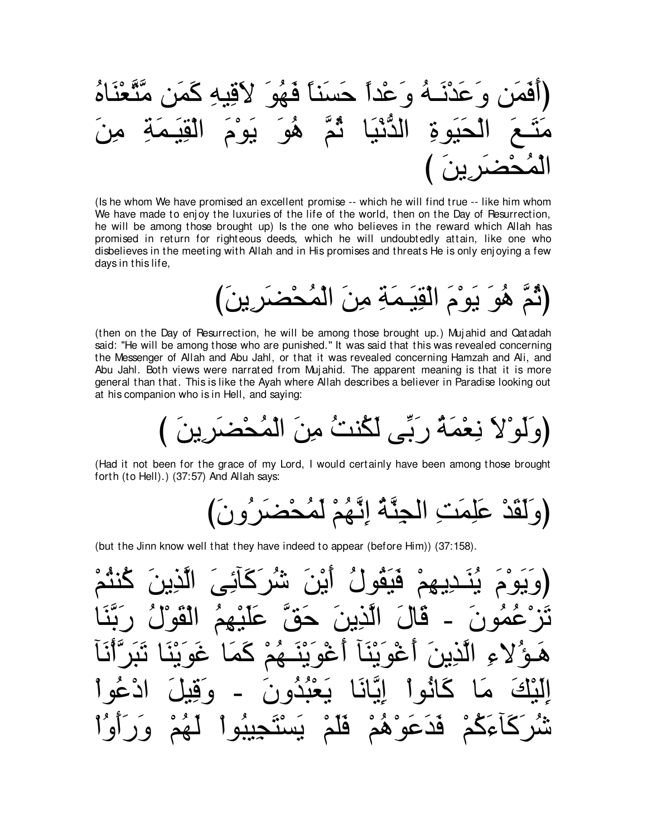(َّأَفَمَن وَعَذُنَـهُ وَعُداً حَسَنًا فَهُوَ لأقَبِهِ كَمَن مَتَّعُنَّاهُ
$$
\widetilde{\mathbf{H}} = \begin{bmatrix} \mathbf{1} & \mathbf{2} \\ \mathbf{2} & \mathbf{3} \end{bmatrix}
$$

(Is he whom We have promised an excellent promise -- which he will find true -- like him whom We have made to enjoy the luxuries of the life of the world, then on the Day of Resurrection, he will be among those brought up) Is the one who believes in the reward which Allah has promised in return for righteous deeds, which he will undoubtedly attain, like one who disbelieves in the meeting with Allah and in His promises and threats He is only enjoying a few days in this life,

(ثَمّ هُو يوْمِ الْقِيمَةِ مِنَ الْمُحْضَرِينَ

(then on the Day of Resurrection, he will be among those brought up.) Mujahid and Qatadah said: "He will be among those who are punished." It was said that this was revealed concerning the Messenger of Allah and Abu Jahl, or that it was revealed concerning Hamzah and Ali, and Abu Jahl. Both views were narrated from Mujahid. The apparent meaning is that it is more general than that. This is like the Ayah where Allah describes a believer in Paradise looking out at his companion who is in Hell, and saying:

(Had it not been for the grace of my Lord, I would certainly have been among those brought forth (to Hell).) (37:57) And Allah says:

(but the Jinn know well that they have indeed to appear (before Him)) (37:158).

قدعو <u>ھا</u>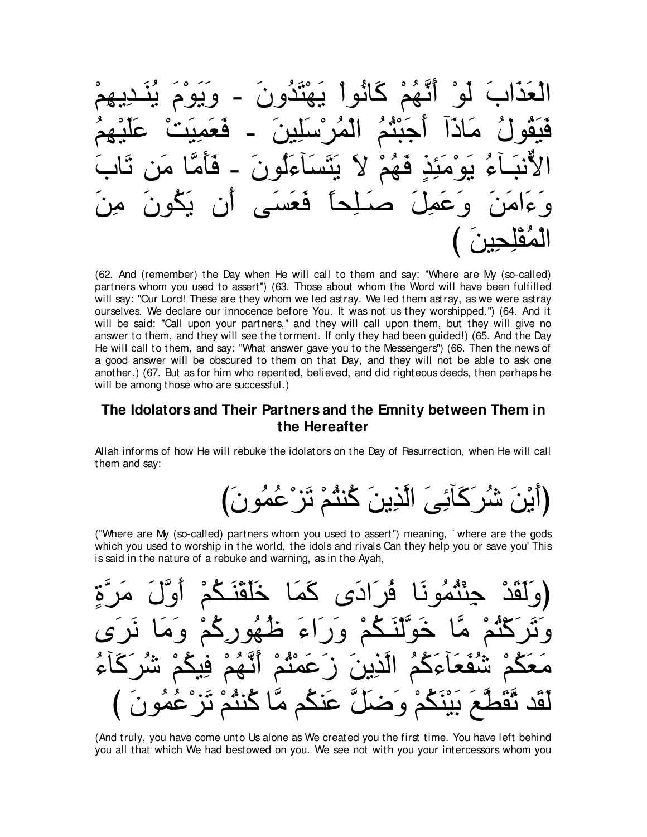$\leq$ 

(62. And (remember) the Day when He will call to them and say: "Where are My (so-called) partners whom you used to assert") (63. Those about whom the Word will have been fulfilled will say: "Our Lord! These are they whom we led astray. We led them astray, as we were astray ourselves. We declare our innocence before You. It was not us they worshipped.") (64. And it will be said: "Call upon your partners," and they will call upon them, but they will give no answer to them, and they will see the torment. If only they had been guided!) (65. And the Day He will call to them, and say: "What answer gave you to the Messengers") (66. Then the news of a good answer will be obscured to them on that Day, and they will not be able to ask one another.) (67. But as for him who repented, believed, and did righteous deeds, then perhaps he will be among those who are successful.)

#### The Idolators and Their Partners and the Emnity between Them in the Hereafter

Allah informs of how He will rebuke the idolators on the Day of Resurrection, when He will call them and say:

("Where are My (so-called) partners whom you used to assert") meaning, 'where are the gods which you used to worship in the world, the idols and rivals Can they help you or save you' This is said in the nature of a rebuke and warning, as in the Ayah,



(And truly, you have come unto Us alone as We created you the first time. You have left behind you all that which We had bestowed on you. We see not with you your intercessors whom you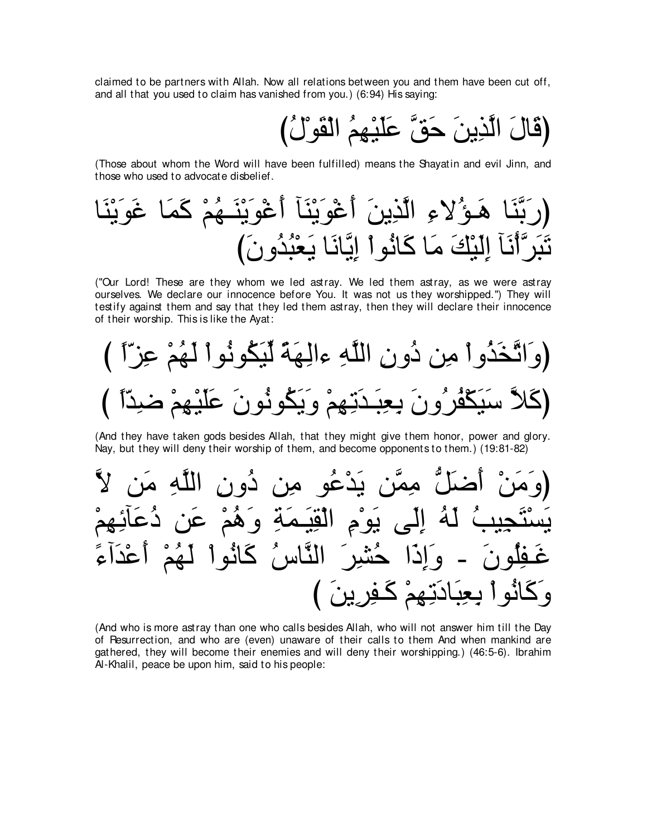claimed to be partners with Allah. Now all relations between you and them have been cut off, and all that you used to claim has vanished from you.) (6:94) His saying:

{قَالَ الَّذِينَ حَقَّ عَلَيْهِمُ الْقَوْلُ)

(Those about whom the Word will have been fulfilled) means the Shayatin and evil Jinn, and those who used to advocate disbelief.

ゅ∠レ∇Α∠ヲ∠ビ ゅ∠ヨ∠ミ ∇ユ⊥ヰ⇒∠レ∇Α∠ヲ∇ビ∠ぺ べ∠レ∇Α∠ヲ∇ビ∠ぺ ∠リΑ⌒グzャや ⌒¬Ι⊥ぽ⇒∠ワ ゅ∠レzよ∠ケぴ び∠ラヱ⊥ギ⊥ら∇バ∠Α ゅ∠ルゅzΑ⌒ま ∇やヲ⊥ルゅ∠ミ ゅ∠ョ ∠マ∇Β∠ャ⌒ま べ∠ル∇ぺzゲ∠ら∠ゎ

("Our Lord! These are they whom we led astray. We led them astray, as we were astray ourselves. We declare our innocence before You. It was not us they worshipped.'') They will testify against them and say that they led them astray, then they will declare their innocence of their worship. This is like the Ayat:



(And they have taken gods besides Allah, that they might give them honor, power and glory. Nay, but they will deny their worship of them, and become opponents to them.) (19:81-82)



(And who is more astray than one who calls besides Allah, who will not answer him till the Day of Resurrection, and who are (even) unaware of their calls to them And when mankind are gathered, they will become their enemies and will deny their worshipping.) (46:5-6). Ibrahim Al-Khalil, peace be upon him, said to his people: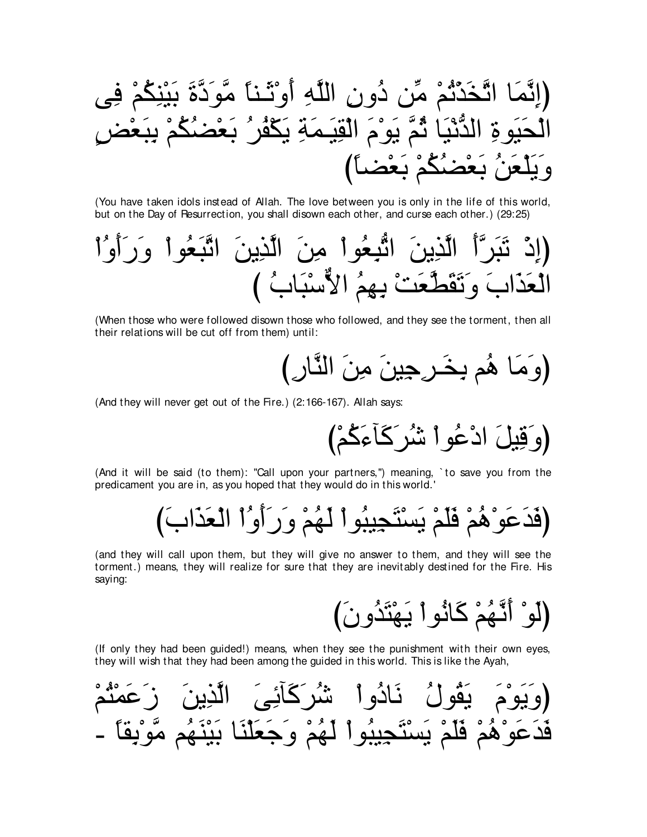(You have taken idols instead of Allah. The love between you is only in the life of this world, but on the Day of Resurrection, you shall disown each other, and curse each other.) (29:25)

(When those who were followed disown those who followed, and they see the torment, then all their relations will be cut off from them) until:

(And they will never get out of the Fire.) (2:166-167). Allah says:

(And it will be said (to them): "Call upon your partners,") meaning, `to save you from the predicament you are in, as you hoped that they would do in this world.'

(and they will call upon them, but they will give no answer to them, and they will see the torment.) means, they will realize for sure that they are inevitably destined for the Fire. His saying:

(If only they had been guided!) means, when they see the punishment with their own eyes, they will wish that they had been among the guided in this world. This is like the Ayah,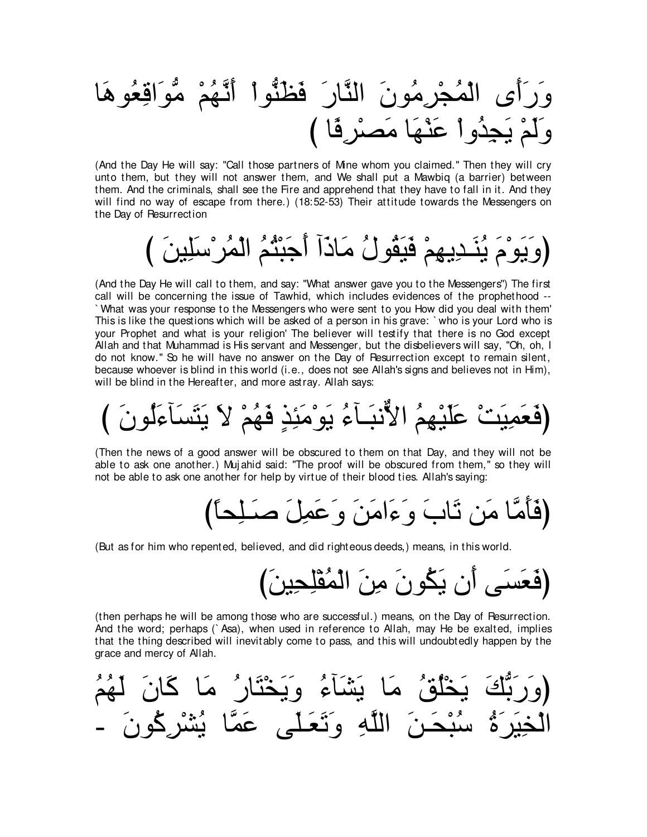ゅ∠ワヲ⊥バ⌒ホや∠ヲぁョ ∇ユ⊥ヰzル∠ぺ ∇やヲぁレ∠ヌ∠プ ∠ケゅzレャや ∠ラヲ⊥ョ⌒ゲ∇イ⊥ヨ∇ャや ン∠ぺ∠ケ∠ヱ び ゅ⇔プ⌒ゲ∇ダ∠ョ ゅ∠ヰ∇レ∠ハ ∇やヱ⊥ギ⌒イ∠Α ∇ユ∠ャ∠ヱ

(And the Day He will say: "Call those partners of Mine whom you claimed.'' Then they will cry unto them, but they will not answer them, and We shall put a Mawbiq (a barrier) between them. And the criminals, shall see the Fire and apprehend that they have to fall in it. And they will find no way of escape from there.) (18:52-53) Their attitude towards the Messengers on the Day of Resurrection

び ∠リΒ⌒ヤ∠シ∇ゲ⊥ヨ∇ャや ⊥ユ⊥わ∇ら∠ィ∠ぺ へ∠クゅ∠ョ ⊥メヲ⊥ボ∠Β∠プ ∇ユ⌒ヰΑ⌒ギ⇒∠レ⊥Α ∠ュ∇ヲ∠Α∠ヱぴ

(And the Day He will call to them, and say: "What answer gave you to the Messengers'') The first call will be concerning the issue of Tawhid, which includes evidences of the prophethood -- ` What was your response to the Messengers who were sent to you How did you deal with them' This is like the questions which will be asked of a person in his grave: ` who is your Lord who is your Prophet and what is your religion' The believer will testify that there is no God except Allah and that Muhammad is His servant and Messenger, but the disbelievers will say, "Oh, oh, I do not know.'' So he will have no answer on the Day of Resurrection except to remain silent, because whoever is blind in this world (i.e., does not see Allah's signs and believes not in Him), will be blind in the Hereafter, and more astray. Allah says:

び ∠ラヲ⊥ャ∠¬べ∠ジ∠わ∠Α ∠Ι ∇ユ⊥ヰ∠プ ∃グ⌒ゃ∠ョ∇ヲ∠Α ⊥¬べ⇒∠らルxΙや ⊥ユ⌒ヰ∇Β∠ヤ∠ハ ∇ろ∠Β⌒ヨ∠バ∠プぴ

(Then the news of a good answer will be obscured to them on that Day, and they will not be able to ask one another.) Mujahid said: "The proof will be obscured from them," so they will not be able to ask one another for help by virtue of their blood ties. Allah's saying:

び⇔ゅエ⌒ヤ⇒∠タ ∠モ⌒ヨ∠ハ∠ヱ ∠リ∠ョや∠¬∠ヱ ∠ゆゅ∠ゎ リ∠ョ ゅzョ∠ほ∠プぴ

(But as for him who repented, believed, and did righteous deeds,) means, in this world.

び∠リΒ⌒エ⌒ヤ∇ヘ⊥ヨ∇ャや ∠リ⌒ョ ∠ラヲ⊥ム∠Α ラ∠ぺ ヴ∠ジ∠バ∠プぴ

(then perhaps he will be among those who are successful.) means, on the Day of Resurrection. And the word; perhaps (` Asa), when used in reference to Allah, may He be exalted, implies that the thing described will inevitably come to pass, and this will undoubtedly happen by the grace and mercy of Allah.

⊥ユ⊥ヰ∠ャ ∠ラゅ∠ミ ゅ∠ョ ⊥ケゅ∠わ∇ガ∠Α∠ヱ ⊥¬べ∠ゼ∠Α ゅ∠ョ ⊥ペ⊥ヤ∇ガ∠Α ∠マぁよ∠ケ∠ヱぴ - ∠ラヲ⊥ミ⌒ゲ∇ゼ⊥Α ゅzヨ∠ハ ヴ∠ヤ⇒∠バ∠ゎ∠ヱ ⌒ヮzヤャや ∠リ⇒∠エ∇ら⊥シ ⊥り∠ゲ∠Β⌒ガ∇ャや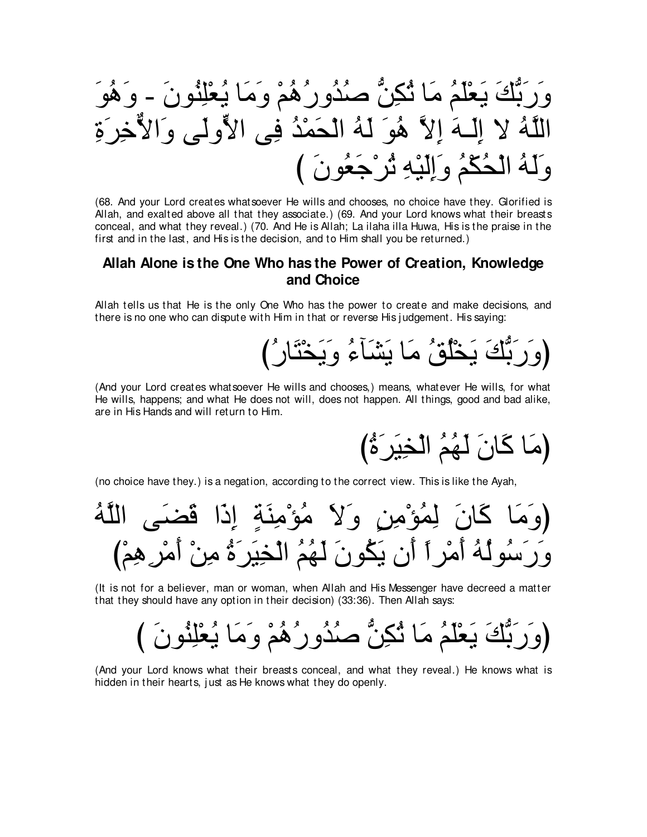وَرَبُّكَ يَعْلَمُ مَا ثُكِنُّ صُدُورُهُمْ وَمَا يُعْلِنُونَ - وَهُوَ اللَّهُ لا إِلَـهَ إِلاَّ هُوَ لَهُ الْحَمْدُ فِى الأَّولَى وَالأُّخِرَةِ وَلَهُ الْحُكْمُ وَإِلَيْهِ ثُرْجَعُونَ ﴾

(68. And your Lord creates whatsoever He wills and chooses, no choice have they. Glorified is Allah, and exalted above all that they associate.) (69. And your Lord knows what their breasts conceal, and what they reveal.) (70. And He is Allah; La ilaha illa Huwa, His is the praise in the first and in the last, and His is the decision, and to Him shall you be returned.)

## Allah Alone is the One Who has the Power of Creation, Knowledge and Choice

Allah tells us that He is the only One Who has the power to create and make decisions, and there is no one who can dispute with Him in that or reverse His judgement. His saying:

(وَرَبُّكَ يَخْلُقُ مَا يَشَآءُ وَيَخْتَارُ ُ)

(And your Lord creates whatsoever He wills and chooses,) means, whatever He wills, for what He wills, happens; and what He does not will, does not happen. All things, good and bad alike, are in His Hands and will return to Him.

(مَا كَانَ لَهُمُ الْخِيَرَةُ)

(no choice have they.) is a negation, according to the correct view. This is like the Ayah.

(It is not for a believer, man or woman, when Allah and His Messenger have decreed a matter that they should have any option in their decision) (33:36). Then Allah says:

(And your Lord knows what their breasts conceal, and what they reveal.) He knows what is hidden in their hearts, just as He knows what they do openly.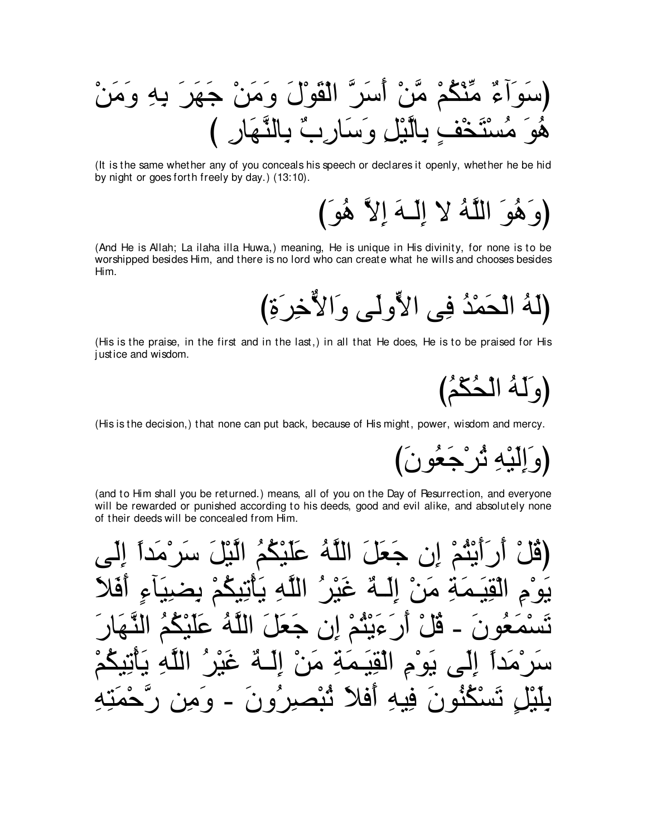(سَوَأَمٌ مِّنْكُمْ مَّنْ أَسَرَّ الْقَوْلَ وَمَنْ جَهَرَ بِهِ وَمَنْ هُوَ مُسْتَخْفٍ بِالَّيْلِ وَسَارِبٌ بِالنَّهَارِ )

(It is the same whether any of you conceals his speech or declares it openly, whether he be hid by night or goes forth freely by day.) (13:10).

(وَهُوَ اللَّهُ لَا إِلَـهَ إِلاَّ هُوَ )

(And He is Allah; La ilaha illa Huwa,) meaning, He is unique in His divinity, for none is to be worshipped besides Him, and there is no lord who can create what he wills and chooses besides Him.

(His is the praise, in the first and in the last,) in all that He does, He is to be praised for His justice and wisdom.

(وَلَهُ الْحُكْمُ)

(وَ اِلَيْهِ ثُرْ جَعُو نَ

(His is the decision,) that none can put back, because of His might, power, wisdom and mercy.

(and to Him shall you be returned.) means, all of you on the Day of Resurrection, and everyone will be rewarded or punished according to his deeds, good and evil alike, and absolutely none of their deeds will be concealed from Him.

أَيْتُمْ إِن جَعَلَ اللَّهُ عَلَيْكُمُ الَّيْلَ سَرْمَداً الْقِيَـمَةِ مَنْ إِلَـهٌ غَيْرٍ ُ اللَّهِ يَأْتِيَكُمْ بِصْبِيَآءِ أَفَ أَرَ ءَيْثُمْ إِن جَعَلَ اللَّهُ عَلَيْكُمُ النَّهَ  $\tilde{\mathbf{e}}$  آ سَرْمَدَأُ إِلَى يَوْمِ الْقِيَمَةِ مَنْ إِلَـٰهٌ غَيْرِ الله د نَسْكُنُونَ فِيهِ أَفْلاَ نُبْصِرِ ُونَ - وَمِزَ